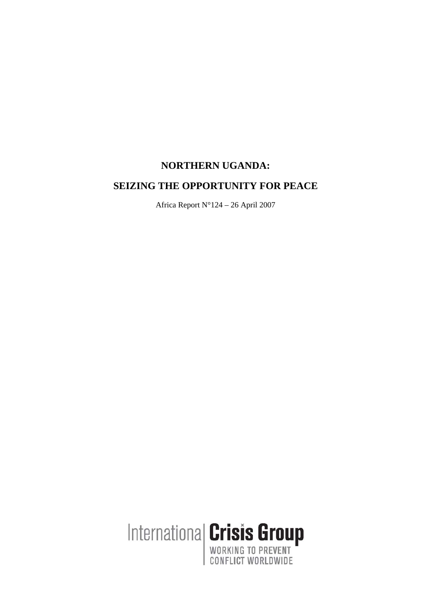# **NORTHERN UGANDA:**

## **SEIZING THE OPPORTUNITY FOR PEACE**

Africa Report N°124 – 26 April 2007

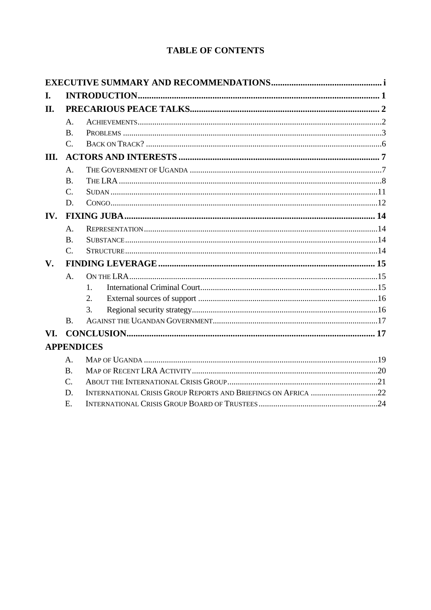# **TABLE OF CONTENTS**

| I.            |                 |                   |  |
|---------------|-----------------|-------------------|--|
| II.           |                 |                   |  |
|               | A.              |                   |  |
|               | $\mathbf{B}$    |                   |  |
|               | $\mathcal{C}$ . |                   |  |
| III.          |                 |                   |  |
|               | A.              |                   |  |
|               | <b>B.</b>       |                   |  |
|               | $\mathcal{C}$ . |                   |  |
|               | D.              |                   |  |
| IV.           |                 |                   |  |
|               | A.              |                   |  |
|               | <b>B.</b>       |                   |  |
|               | $\mathcal{C}$ . |                   |  |
| $V_{\bullet}$ |                 |                   |  |
|               | $\mathsf{A}$ .  |                   |  |
|               |                 | 1.                |  |
|               |                 | 2.                |  |
|               |                 | 3.                |  |
|               | $\mathbf{B}$ .  |                   |  |
| VI.           |                 |                   |  |
|               |                 | <b>APPENDICES</b> |  |
|               | $\mathsf{A}$ .  |                   |  |
|               | B.              |                   |  |
|               | $\mathcal{C}$ . |                   |  |
|               | D.              |                   |  |
|               | $E_{\rm{r}}$    |                   |  |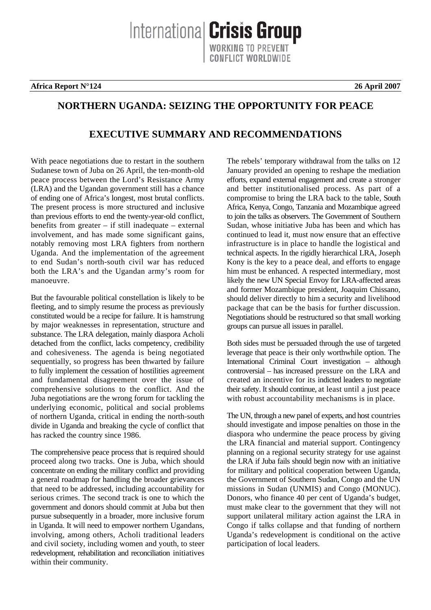Internationa **Crisis Group** 

**Africa Report N°124 26 April 2007**

# **NORTHERN UGANDA: SEIZING THE OPPORTUNITY FOR PEACE**

# **EXECUTIVE SUMMARY AND RECOMMENDATIONS**

With peace negotiations due to restart in the southern Sudanese town of Juba on 26 April, the ten-month-old peace process between the Lord's Resistance Army (LRA) and the Ugandan government still has a chance of ending one of Africa's longest, most brutal conflicts. The present process is more structured and inclusive than previous efforts to end the twenty-year-old conflict, benefits from greater – if still inadequate – external involvement, and has made some significant gains, notably removing most LRA fighters from northern Uganda. And the implementation of the agreement to end Sudan's north-south civil war has reduced both the LRA's and the Ugandan army's room for manoeuvre.

But the favourable political constellation is likely to be fleeting, and to simply resume the process as previously constituted would be a recipe for failure. It is hamstrung by major weaknesses in representation, structure and substance. The LRA delegation, mainly diaspora Acholi detached from the conflict, lacks competency, credibility and cohesiveness. The agenda is being negotiated sequentially, so progress has been thwarted by failure to fully implement the cessation of hostilities agreement and fundamental disagreement over the issue of comprehensive solutions to the conflict. And the Juba negotiations are the wrong forum for tackling the underlying economic, political and social problems of northern Uganda, critical in ending the north-south divide in Uganda and breaking the cycle of conflict that has racked the country since 1986.

The comprehensive peace process that is required should proceed along two tracks. One is Juba, which should concentrate on ending the military conflict and providing a general roadmap for handling the broader grievances that need to be addressed, including accountability for serious crimes. The second track is one to which the government and donors should commit at Juba but then pursue subsequently in a broader, more inclusive forum in Uganda. It will need to empower northern Ugandans, involving, among others, Acholi traditional leaders and civil society, including women and youth, to steer redevelopment, rehabilitation and reconciliation initiatives within their community.

The rebels' temporary withdrawal from the talks on 12 January provided an opening to reshape the mediation efforts, expand external engagement and create a stronger and better institutionalised process. As part of a compromise to bring the LRA back to the table, South Africa, Kenya, Congo, Tanzania and Mozambique agreed to join the talks as observers. The Government of Southern Sudan, whose initiative Juba has been and which has continued to lead it, must now ensure that an effective infrastructure is in place to handle the logistical and technical aspects. In the rigidly hierarchical LRA, Joseph Kony is the key to a peace deal, and efforts to engage him must be enhanced. A respected intermediary, most likely the new UN Special Envoy for LRA-affected areas and former Mozambique president, Joaquim Chissano, should deliver directly to him a security and livelihood package that can be the basis for further discussion. Negotiations should be restructured so that small working groups can pursue all issues in parallel.

Both sides must be persuaded through the use of targeted leverage that peace is their only worthwhile option. The International Criminal Court investigation – although controversial – has increased pressure on the LRA and created an incentive for its indicted leaders to negotiate their safety. It should continue, at least until a just peace with robust accountability mechanisms is in place.

The UN, through a new panel of experts, and host countries should investigate and impose penalties on those in the diaspora who undermine the peace process by giving the LRA financial and material support. Contingency planning on a regional security strategy for use against the LRA if Juba fails should begin now with an initiative for military and political cooperation between Uganda, the Government of Southern Sudan, Congo and the UN missions in Sudan (UNMIS) and Congo (MONUC). Donors, who finance 40 per cent of Uganda's budget, must make clear to the government that they will not support unilateral military action against the LRA in Congo if talks collapse and that funding of northern Uganda's redevelopment is conditional on the active participation of local leaders.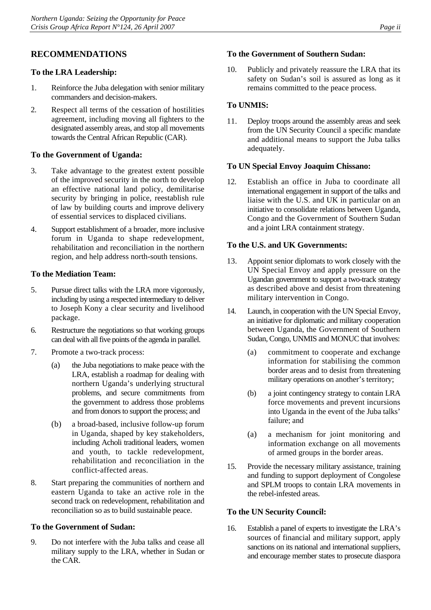### **RECOMMENDATIONS**

#### **To the LRA Leadership:**

- 1. Reinforce the Juba delegation with senior military commanders and decision-makers.
- 2. Respect all terms of the cessation of hostilities agreement, including moving all fighters to the designated assembly areas, and stop all movements towards the Central African Republic (CAR).

#### **To the Government of Uganda:**

- 3. Take advantage to the greatest extent possible of the improved security in the north to develop an effective national land policy, demilitarise security by bringing in police, reestablish rule of law by building courts and improve delivery of essential services to displaced civilians.
- 4. Support establishment of a broader, more inclusive forum in Uganda to shape redevelopment, rehabilitation and reconciliation in the northern region, and help address north-south tensions.

#### **To the Mediation Team:**

- 5. Pursue direct talks with the LRA more vigorously, including by using a respected intermediary to deliver to Joseph Kony a clear security and livelihood package.
- 6. Restructure the negotiations so that working groups can deal with all five points of the agenda in parallel.
- 7. Promote a two-track process:
	- (a) the Juba negotiations to make peace with the LRA, establish a roadmap for dealing with northern Uganda's underlying structural problems, and secure commitments from the government to address those problems and from donors to support the process; and
	- (b) a broad-based, inclusive follow-up forum in Uganda, shaped by key stakeholders, including Acholi traditional leaders, women and youth, to tackle redevelopment, rehabilitation and reconciliation in the conflict-affected areas.
- 8. Start preparing the communities of northern and eastern Uganda to take an active role in the second track on redevelopment, rehabilitation and reconciliation so as to build sustainable peace.

### **To the Government of Sudan:**

9. Do not interfere with the Juba talks and cease all military supply to the LRA, whether in Sudan or the CAR.

### **To the Government of Southern Sudan:**

10. Publicly and privately reassure the LRA that its safety on Sudan's soil is assured as long as it remains committed to the peace process.

### **To UNMIS:**

11. Deploy troops around the assembly areas and seek from the UN Security Council a specific mandate and additional means to support the Juba talks adequately.

#### **To UN Special Envoy Joaquim Chissano:**

12. Establish an office in Juba to coordinate all international engagement in support of the talks and liaise with the U.S. and UK in particular on an initiative to consolidate relations between Uganda, Congo and the Government of Southern Sudan and a joint LRA containment strategy.

#### **To the U.S. and UK Governments:**

- 13. Appoint senior diplomats to work closely with the UN Special Envoy and apply pressure on the Ugandan government to support a two-track strategy as described above and desist from threatening military intervention in Congo.
- 14. Launch, in cooperation with the UN Special Envoy, an initiative for diplomatic and military cooperation between Uganda, the Government of Southern Sudan, Congo, UNMIS and MONUC that involves:
	- (a) commitment to cooperate and exchange information for stabilising the common border areas and to desist from threatening military operations on another's territory;
	- (b) a joint contingency strategy to contain LRA force movements and prevent incursions into Uganda in the event of the Juba talks' failure; and
	- (a) a mechanism for joint monitoring and information exchange on all movements of armed groups in the border areas.
- 15. Provide the necessary military assistance, training and funding to support deployment of Congolese and SPLM troops to contain LRA movements in the rebel-infested areas.

#### **To the UN Security Council:**

16. Establish a panel of experts to investigate the LRA's sources of financial and military support, apply sanctions on its national and international suppliers, and encourage member states to prosecute diaspora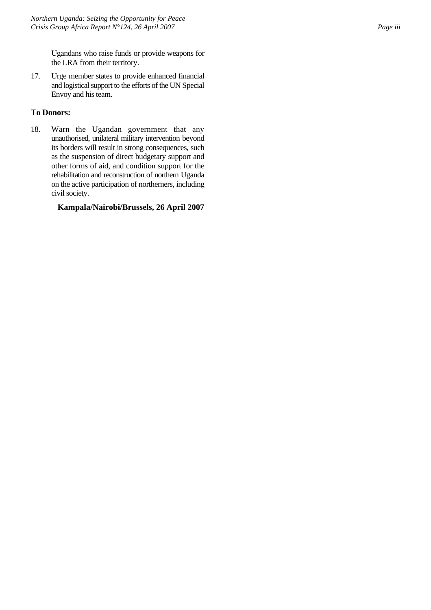Ugandans who raise funds or provide weapons for the LRA from their territory.

17. Urge member states to provide enhanced financial and logistical support to the efforts of the UN Special Envoy and his team.

### **To Donors:**

18. Warn the Ugandan government that any unauthorised, unilateral military intervention beyond its borders will result in strong consequences, such as the suspension of direct budgetary support and other forms of aid, and condition support for the rehabilitation and reconstruction of northern Uganda on the active participation of northerners, including civil society.

### **Kampala/Nairobi/Brussels, 26 April 2007**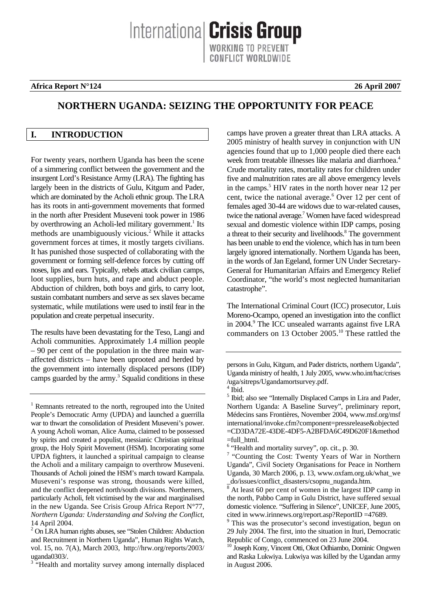International Crisis Group ONFLICT WORLDWIDE

#### **Africa Report N°124 26 April 2007**

## **NORTHERN UGANDA: SEIZING THE OPPORTUNITY FOR PEACE**

### <span id="page-5-0"></span>**I. INTRODUCTION**

For twenty years, northern Uganda has been the scene of a simmering conflict between the government and the insurgent Lord's Resistance Army (LRA). The fighting has largely been in the districts of Gulu, Kitgum and Pader, which are dominated by the Acholi ethnic group. The LRA has its roots in anti-government movements that formed in the north after President Museveni took power in 1986 by overthrowing an Acholi-led military government.<sup>[1](#page-5-1)</sup> Its methods are unambiguously vicious.<sup>[2](#page-5-2)</sup> While it attacks government forces at times, it mostly targets civilians. It has punished those suspected of collaborating with the government or forming self-defence forces by cutting off noses, lips and ears. Typically, rebels attack civilian camps, loot supplies, burn huts, and rape and abduct people. Abduction of children, both boys and girls, to carry loot, sustain combatant numbers and serve as sex slaves became systematic, while mutilations were used to instil fear in the population and create perpetual insecurity.

The results have been devastating for the Teso, Langi and Acholi communities. Approximately 1.4 million people – 90 per cent of the population in the three main waraffected districts – have been uprooted and herded by the government into internally displaced persons (IDP) camps guarded by the army.<sup>3</sup> [S](#page-5-3)qualid conditions in these

<span id="page-5-3"></span><sup>3 "</sup>Health and mortality survey among internally displaced

camps have proven a greater threat than LRA attacks. A 2005 ministry of health survey in conjunction with UN agencies found that up to 1,000 people died there each week from treatable illnesses like malaria and diarrhoea.<sup>4</sup> Crude mortality rates, mortality rates for children under five and malnutrition rates are all above emergency levels in the camps.<sup>5</sup> HIV rates in the north hover near 12 per cent, twice the national average.<sup>[6](#page-5-6)</sup> Over 12 per cent of females aged 30-44 are widows due to war-related causes, twice the national average. [7](#page-5-7) Women have faced widespread sexual and domestic violence within IDP camps, posing a threat to their security and livelihoods.[8](#page-5-8) The government has been unable to end the violence, which has in turn been largely ignored internationally. Northern Uganda has been, in the words of Jan Egeland, former UN Under Secretary-General for Humanitarian Affairs and Emergency Relief Coordinator, "the world's most neglected humanitarian catastrophe".

The International Criminal Court (ICC) prosecutor, Luis Moreno-Ocampo, opened an investigation into the conflict in2004.<sup>9</sup> The ICC unsealed warrants against five LRA commanders on 13 October 2005.<sup>10</sup> These rattled the

<span id="page-5-1"></span><sup>&</sup>lt;sup>1</sup> Remnants retreated to the north, regrouped into the United People's Democratic Army (UPDA) and launched a guerrilla war to thwart the consolidation of President Museveni's power. A young Acholi woman, Alice Auma, claimed to be possessed by spirits and created a populist, messianic Christian spiritual group, the Holy Spirit Movement (HSM). Incorporating some UPDA fighters, it launched a spiritual campaign to cleanse the Acholi and a military campaign to overthrow Museveni. Thousands of Acholi joined the HSM's march toward Kampala. Museveni's response was strong, thousands were killed, and the conflict deepened north/south divisions. Northerners, particularly Acholi, felt victimised by the war and marginalised in the new Uganda. See Crisis Group Africa Report N°77, *Northern Uganda: Understanding and Solving the Conflict*, 14 April 2004.

<span id="page-5-2"></span><sup>&</sup>lt;sup>2</sup> On LRA human rights abuses, see "Stolen Children: Abduction and Recruitment in Northern Uganda", Human Rights Watch, vol. 15, no. 7(A), March 2003, http://hrw.org/reports/2003/ uganda0303/.

persons in Gulu, Kitgum, and Pader districts, northern Uganda", Uganda ministry of health, 1 July 2005, www.who.int/hac/crises /uga/sitreps/Ugandamortsurvey.pdf.

<span id="page-5-4"></span> $4$  Ibid.

<span id="page-5-5"></span><sup>&</sup>lt;sup>5</sup> Ibid; also see "Internally Displaced Camps in Lira and Pader, Northern Uganda: A Baseline Survey", preliminary report, Médecins sans Frontières, November 2004, www.msf.org/msf international/invoke.cfm?component=pressrelease&objected =CD3DA72E-43DE-4DF5-A2BFDA6C49D620F1&method  $=$ full html.

<span id="page-5-6"></span> $^6$  "Health and mortality survey", op. cit., p. 30.<br> $^7$  "Counting the Cost: Twenty Neare of We

<span id="page-5-7"></span><sup>&</sup>lt;sup>7</sup> "Counting the Cost: Twenty Years of War in Northern Uganda", Civil Society Organisations for Peace in Northern Uganda, 30 March 2006, p. 13, www.oxfam.org.uk/what\_we \_do/issues/conflict\_disasters/csopnu\_nuganda.htm.

<span id="page-5-8"></span><sup>8</sup> At least 60 per cent of women in the largest IDP camp in the north, Pabbo Camp in Gulu District, have suffered sexual domestic violence. "Suffering in Silence", UNICEF, June 2005, cited in www.irinnews.org/report.asp?ReportID =47689.

<span id="page-5-9"></span><sup>9</sup> This was the prosecutor's second investigation, begun on 29 July 2004. The first, into the situation in Ituri, Democratic Republic of Congo, commenced on 23 June 2004.

<span id="page-5-10"></span><sup>&</sup>lt;sup>10</sup> Joseph Kony, Vincent Otti, Okot Odhiambo, Dominic Ongwen and Raska Lukwiya. Lukwiya was killed by the Ugandan army in August 2006.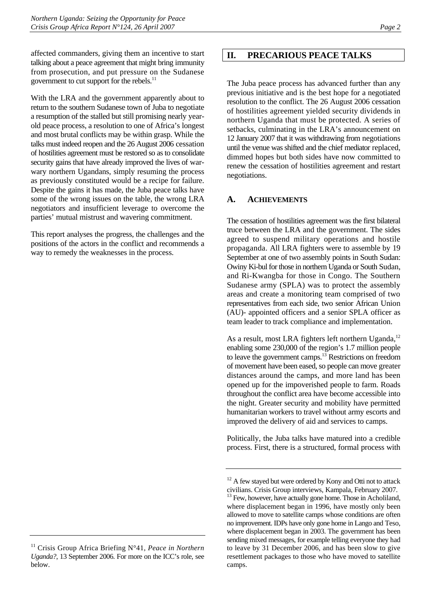affected commanders, giving them an incentive to start talking about a peace agreement that might bring immunity from prosecution, and put pressure on the Sudanese government to cut support for the rebels.<sup>11</sup>

With the LRA and the government apparently about to return to the southern Sudanese town of Juba to negotiate a resumption of the stalled but still promising nearly yearold peace process, a resolution to one of Africa's longest and most brutal conflicts may be within grasp. While the talks must indeed reopen and the 26 August 2006 cessation of hostilities agreement must be restored so as to consolidate security gains that have already improved the lives of warwary northern Ugandans, simply resuming the process as previously constituted would be a recipe for failure. Despite the gains it has made, the Juba peace talks have some of the wrong issues on the table, the wrong LRA negotiators and insufficient leverage to overcome the parties' mutual mistrust and wavering commitment.

This report analyses the progress, the challenges and the positions of the actors in the conflict and recommends a way to remedy the weaknesses in the process.

#### <span id="page-6-0"></span>**II. PRECARIOUS PEACE TALKS**

The Juba peace process has advanced further than any previous initiative and is the best hope for a negotiated resolution to the conflict. The 26 August 2006 cessation of hostilities agreement yielded security dividends in northern Uganda that must be protected. A series of setbacks, culminating in the LRA's announcement on 12 January 2007 that it was withdrawing from negotiations until the venue was shifted and the chief mediator replaced, dimmed hopes but both sides have now committed to renew the cessation of hostilities agreement and restart negotiations.

#### <span id="page-6-1"></span>**A. ACHIEVEMENTS**

The cessation of hostilities agreement was the first bilateral truce between the LRA and the government. The sides agreed to suspend military operations and hostile propaganda. All LRA fighters were to assemble by 19 September at one of two assembly points in South Sudan: Owiny Ki-bul for those in northern Uganda or South Sudan, and Ri-Kwangba for those in Congo. The Southern Sudanese army (SPLA) was to protect the assembly areas and create a monitoring team comprised of two representatives from each side, two senior African Union (AU)- appointed officers and a senior SPLA officer as team leader to track compliance and implementation.

As a result, most LRA fighters left northern Uganda, $^{12}$ enabling some 230,000 of the region's 1.7 million people to leave the government camps.<sup>13</sup> Restrictions on freedom of movement have been eased, so people can move greater distances around the camps, and more land has been opened up for the impoverished people to farm. Roads throughout the conflict area have become accessible into the night. Greater security and mobility have permitted humanitarian workers to travel without army escorts and improved the delivery of aid and services to camps.

Politically, the Juba talks have matured into a credible process. First, there is a structured, formal process with

<span id="page-6-2"></span><sup>11</sup> Crisis Group Africa Briefing N°41, *Peace in Northern Uganda?*, 13 September 2006. For more on the ICC's role, see below.

<span id="page-6-3"></span> $12$  A few stayed but were ordered by Kony and Otti not to attack civilians. Crisis Group interviews, Kampala, February 2007.

<span id="page-6-4"></span><sup>&</sup>lt;sup>13</sup> Few, however, have actually gone home. Those in Acholiland, where displacement began in 1996, have mostly only been allowed to move to satellite camps whose conditions are often no improvement. IDPs have only gone home in Lango and Teso, where displacement began in 2003. The government has been sending mixed messages, for example telling everyone they had to leave by 31 December 2006, and has been slow to give resettlement packages to those who have moved to satellite camps.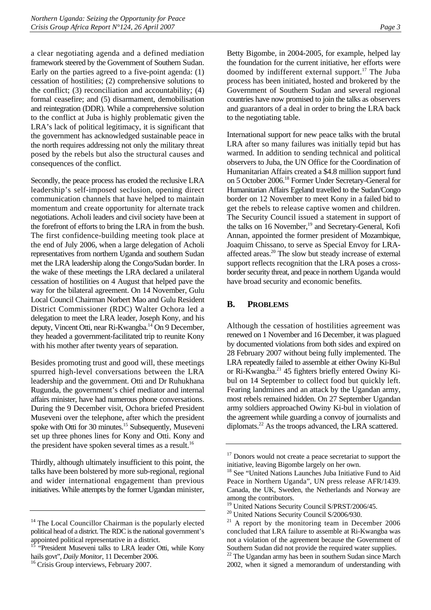a clear negotiating agenda and a defined mediation framework steered by the Government of Southern Sudan. Early on the parties agreed to a five-point agenda: (1) cessation of hostilities; (2) comprehensive solutions to the conflict; (3) reconciliation and accountability; (4) formal ceasefire; and (5) disarmament, demobilisation and reintegration (DDR). While a comprehensive solution to the conflict at Juba is highly problematic given the LRA's lack of political legitimacy, it is significant that the government has acknowledged sustainable peace in the north requires addressing not only the military threat posed by the rebels but also the structural causes and consequences of the conflict.

Secondly, the peace process has eroded the reclusive LRA leadership's self-imposed seclusion, opening direct communication channels that have helped to maintain momentum and create opportunity for alternate track negotiations. Acholi leaders and civil society have been at the forefront of efforts to bring the LRA in from the bush. The first confidence-building meeting took place at the end of July 2006, when a large delegation of Acholi representatives from northern Uganda and southern Sudan met the LRA leadership along the Congo/Sudan border. In the wake of these meetings the LRA declared a unilateral cessation of hostilities on 4 August that helped pave the way for the bilateral agreement. On 14 November, Gulu Local Council Chairman Norbert Mao and Gulu Resident District Commissioner (RDC) Walter Ochora led a delegation to meet the LRA leader, Joseph Kony, and his deputy, Vincent Otti, near Ri-Kwangba[.14 O](#page-7-1)n 9 December, they headed a government-facilitated trip to reunite Kony with his mother after twenty years of separation.

Besides promoting trust and good will, these meetings spurred high-level conversations between the LRA leadership and the government. Otti and Dr Ruhukhana Rugunda, the government's chief mediator and internal affairs minister, have had numerous phone conversations. During the 9 December visit, Ochora briefed President Museveni over the telephone, after which the president spoke with Otti for 30 minutes.<sup>15</sup> Subsequently, Museveni set up three phones lines for Kony and Otti. Kony and the president have spoken several times as a result.<sup>16</sup>

Thirdly, although ultimately insufficient to this point, the talks have been bolstered by more sub-regional, regional and wider international engagement than previous initiatives. While attempts by the former Ugandan minister, Betty Bigombe, in 2004-2005, for example, helped lay the foundation for the current initiative, her efforts were doomed by indifferent external support.<sup>17</sup> The Juba process has been initiated, hosted and brokered by the Government of Southern Sudan and several regional countries have now promised to join the talks as observers and guarantors of a deal in order to bring the LRA back to the negotiating table.

International support for new peace talks with the brutal LRA after so many failures was initially tepid but has warmed. In addition to sending technical and political observers to Juba, the UN Office for the Coordination of Humanitarian Affairs created a \$4.8 million support fund on 5 October 2006[.18 F](#page-7-5)ormer Under Secretary-General for Humanitarian Affairs Egeland travelled to the Sudan/Congo border on 12 November to meet Kony in a failed bid to get the rebels to release captive women and children. The Security Council issued a statement in support of the talks on 16 November,<sup>19</sup> and Secretary-General, Kofi Annan, appointed the former president of Mozambique, Joaquim Chissano, to serve as Special Envoy for LRAaffected areas.<sup>20</sup> The slow but steady increase of external support reflects recognition that the LRA poses a crossborder security threat, and peace in northern Uganda would have broad security and economic benefits.

### <span id="page-7-0"></span>**B. PROBLEMS**

Although the cessation of hostilities agreement was renewed on 1 November and 16 December, it was plagued by documented violations from both sides and expired on 28 February 2007 without being fully implemented. The LRA repeatedly failed to assemble at either Owiny Ki-Bul or Ri-Kwangba.<sup>21</sup> 45 fighters briefly entered Owiny Kibul on 14 September to collect food but quickly left. Fearing landmines and an attack by the Ugandan army, most rebels remained hidden. On 27 September Ugandan army soldiers approached Owiny Ki-bul in violation of the agreement while guarding a convoy of journalists and diplomats.<sup>22</sup> As the troops advanced, the LRA scattered.

<span id="page-7-1"></span><sup>&</sup>lt;sup>14</sup> The Local Councillor Chairman is the popularly elected political head of a district. The RDC is the national government's appointed political representative in a district.

<span id="page-7-2"></span><sup>&</sup>lt;sup>15</sup> "President Museveni talks to LRA leader Otti, while Kony hails govt", *Daily Monitor*, 11 December 2006.<br><sup>16</sup> Crisis Group interviews, February 2007.

<span id="page-7-3"></span>

<span id="page-7-4"></span> $17$  Donors would not create a peace secretariat to support the initiative, leaving Bigombe largely on her own.

<span id="page-7-5"></span><sup>&</sup>lt;sup>18</sup> See "United Nations Launches Juba Initiative Fund to Aid Peace in Northern Uganda", UN press release AFR/1439. Canada, the UK, Sweden, the Netherlands and Norway are among the contributors.

<span id="page-7-6"></span><sup>&</sup>lt;sup>19</sup> United Nations Security Council S/PRST/2006/45.

<span id="page-7-7"></span><sup>&</sup>lt;sup>20</sup> United Nations Security Council S/2006/930.<br><sup>21</sup> A report by the monitoring team in Dec

<span id="page-7-8"></span><sup>21</sup> A report by the monitoring team in December 2006 concluded that LRA failure to assemble at Ri-Kwangba was not a violation of the agreement because the Government of Southern Sudan did not provide the required water supplies.

<span id="page-7-9"></span><sup>&</sup>lt;sup>22</sup> The Ugandan army has been in southern Sudan since March 2002, when it signed a memorandum of understanding with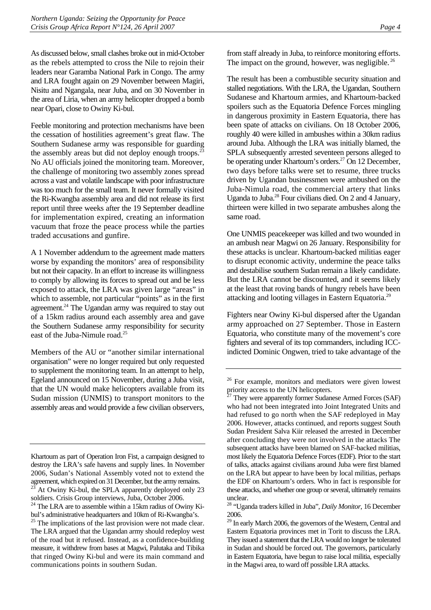As discussed below, small clashes broke out in mid-October as the rebels attempted to cross the Nile to rejoin their leaders near Garamba National Park in Congo. The army and LRA fought again on 29 November between Magiri, Nisitu and Ngangala, near Juba, and on 30 November in the area of Liria, when an army helicopter dropped a bomb near Opari, close to Owiny Ki-bul.

Feeble monitoring and protection mechanisms have been the cessation of hostilities agreement's great flaw. The Southern Sudanese army was responsible for guarding the assembly areas but did not deploy enough troops.<sup>23</sup> No AU officials joined the monitoring team. Moreover, the challenge of monitoring two assembly zones spread across a vast and volatile landscape with poor infrastructure was too much for the small team. It never formally visited the Ri-Kwangba assembly area and did not release its first report until three weeks after the 19 September deadline for implementation expired, creating an information vacuum that froze the peace process while the parties traded accusations and gunfire.

A 1 November addendum to the agreement made matters worse by expanding the monitors' area of responsibility but not their capacity. In an effort to increase its willingness to comply by allowing its forces to spread out and be less exposed to attack, the LRA was given large "areas" in which to assemble, not particular "points" as in the first agreement.<sup>24</sup> The Ugandan army was required to stay out of a 15km radius around each assembly area and gave the Southern Sudanese army responsibility for security east of the Juba-Nimule road.<sup>25</sup>

Members of the AU or "another similar international organisation" were no longer required but only requested to supplement the monitoring team. In an attempt to help, Egeland announced on 15 November, during a Juba visit, that the UN would make helicopters available from its Sudan mission (UNMIS) to transport monitors to the assembly areas and would provide a few civilian observers, The result has been a combustible security situation and stalled negotiations. With the LRA, the Ugandan, Southern Sudanese and Khartoum armies, and Khartoum-backed spoilers such as the Equatoria Defence Forces mingling in dangerous proximity in Eastern Equatoria, there has been spate of attacks on civilians. On 18 October 2006, roughly 40 were killed in ambushes within a 30km radius around Juba. Although the LRA was initially blamed, the SPLA subsequently arrested seventeen persons alleged to be operating under Khartoum's orders.<sup>27</sup> On 12 December, two days before talks were set to resume, three trucks driven by Ugandan businessmen were ambushed on the Juba-Nimula road, the commercial artery that links Uganda to Juba.<sup>28</sup> Four civilians died. On 2 and 4 January, thirteen were killed in two separate ambushes along the same road.

One UNMIS peacekeeper was killed and two wounded in an ambush near Magwi on 26 January. Responsibility for these attacks is unclear. Khartoum-backed militias eager to disrupt economic activity, undermine the peace talks and destabilise southern Sudan remain a likely candidate. But the LRA cannot be discounted, and it seems likely at the least that roving bands of hungry rebels have been attacking and looting villages in Eastern Equatoria[.29](#page-8-6)

Fighters near Owiny Ki-bul dispersed after the Ugandan army approached on 27 September. Those in Eastern Equatoria, who constitute many of the movement's core fighters and several of its top commanders, including ICCindicted Dominic Ongwen, tried to take advantage of the

Khartoum as part of Operation Iron Fist, a campaign designed to destroy the LRA's safe havens and supply lines. In November 2006, Sudan's National Assembly voted not to extend the agreement, which expired on 31 December, but the army remains. 23 At Owiny Ki-bul, the SPLA apparently deployed only 23

<span id="page-8-0"></span>soldiers. Crisis Group interviews, Juba, October 2006.

<span id="page-8-1"></span><sup>&</sup>lt;sup>24</sup> The LRA are to assemble within a 15km radius of Owiny Kibul's administrative headquarters and 10km of Ri-Kwangba's.

<span id="page-8-2"></span><sup>&</sup>lt;sup>25</sup> The implications of the last provision were not made clear. The LRA argued that the Ugandan army should redeploy west of the road but it refused. Instead, as a confidence-building measure, it withdrew from bases at Magwi, Palutaka and Tibika that ringed Owiny Ki-bul and were its main command and communications points in southern Sudan.

<span id="page-8-3"></span><sup>&</sup>lt;sup>26</sup> For example, monitors and mediators were given lowest priority access to the UN helicopters.

<span id="page-8-4"></span>They were apparently former Sudanese Armed Forces (SAF) who had not been integrated into Joint Integrated Units and had refused to go north when the SAF redeployed in May 2006. However, attacks continued, and reports suggest South Sudan President Salva Kiir released the arrested in December after concluding they were not involved in the attacks The subsequent attacks have been blamed on SAF-backed militias, most likely the Equatoria Defence Forces (EDF). Prior to the start of talks, attacks against civilians around Juba were first blamed on the LRA but appear to have been by local militias, perhaps the EDF on Khartoum's orders. Who in fact is responsible for these attacks, and whether one group or several, ultimately remains unclear.

<span id="page-8-5"></span><sup>28 &</sup>quot;Uganda traders killed in Juba", *Daily Monitor*, 16 December 2006.

<span id="page-8-6"></span><sup>&</sup>lt;sup>29</sup> In early March 2006, the governors of the Western, Central and Eastern Equatoria provinces met in Torit to discuss the LRA. They issued a statement that the LRA would no longer be tolerated in Sudan and should be forced out. The governors, particularly in Eastern Equatoria, have begun to raise local militia, especially in the Magwi area, to ward off possible LRA attacks.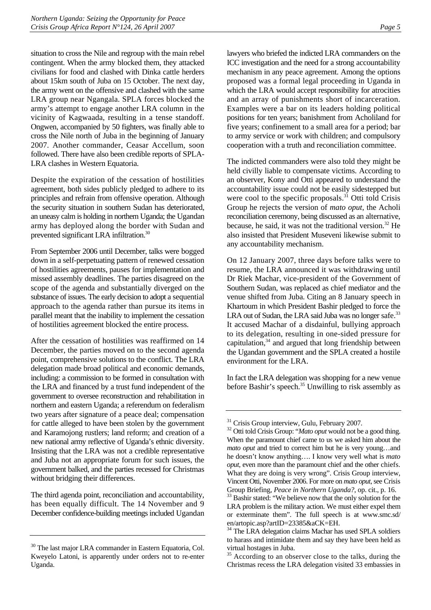situation to cross the Nile and regroup with the main rebel contingent. When the army blocked them, they attacked civilians for food and clashed with Dinka cattle herders about 15km south of Juba on 15 October. The next day, the army went on the offensive and clashed with the same LRA group near Ngangala. SPLA forces blocked the army's attempt to engage another LRA column in the vicinity of Kagwaada, resulting in a tense standoff. Ongwen, accompanied by 50 fighters, was finally able to cross the Nile north of Juba in the beginning of January 2007. Another commander, Ceasar Accellum, soon followed. There have also been credible reports of SPLA-LRA clashes in Western Equatoria.

Despite the expiration of the cessation of hostilities agreement, both sides publicly pledged to adhere to its principles and refrain from offensive operation. Although the security situation in southern Sudan has deteriorated, an uneasy calm is holding in northern Uganda; the Ugandan army has deployed along the border with Sudan and prevented significant LRA infiltration[.30](#page-9-0)

From September 2006 until December, talks were bogged down in a self-perpetuating pattern of renewed cessation of hostilities agreements, pauses for implementation and missed assembly deadlines. The parties disagreed on the scope of the agenda and substantially diverged on the substance of issues. The early decision to adopt a sequential approach to the agenda rather than pursue its items in parallel meant that the inability to implement the cessation of hostilities agreement blocked the entire process.

After the cessation of hostilities was reaffirmed on 14 December, the parties moved on to the second agenda point, comprehensive solutions to the conflict. The LRA delegation made broad political and economic demands, including: a commission to be formed in consultation with the LRA and financed by a trust fund independent of the government to oversee reconstruction and rehabilitation in northern and eastern Uganda; a referendum on federalism two years after signature of a peace deal; compensation for cattle alleged to have been stolen by the government and Karamojong rustlers; land reform; and creation of a new national army reflective of Uganda's ethnic diversity. Insisting that the LRA was not a credible representative and Juba not an appropriate forum for such issues, the government balked, and the parties recessed for Christmas without bridging their differences.

The third agenda point, reconciliation and accountability, has been equally difficult. The 14 November and 9 December confidence-building meetings included Ugandan lawyers who briefed the indicted LRA commanders on the ICC investigation and the need for a strong accountability mechanism in any peace agreement. Among the options proposed was a formal legal proceeding in Uganda in which the LRA would accept responsibility for atrocities and an array of punishments short of incarceration. Examples were a bar on its leaders holding political positions for ten years; banishment from Acholiland for five years; confinement to a small area for a period; bar to army service or work with children; and compulsory cooperation with a truth and reconciliation committee.

The indicted commanders were also told they might be held civilly liable to compensate victims. According to an observer, Kony and Otti appeared to understand the accountability issue could not be easily sidestepped but were cool to the specific proposals.<sup>31</sup> Otti told Crisis Group he rejects the version of *mato oput*, the Acholi reconciliation ceremony, being discussed as an alternative, because, he said, it was not the traditional version.<sup>32</sup> He also insisted that President Museveni likewise submit to any accountability mechanism.

On 12 January 2007, three days before talks were to resume, the LRA announced it was withdrawing until Dr Riek Machar, vice-president of the Government of Southern Sudan, was replaced as chief mediator and the venue shifted from Juba. Citing an 8 January speech in Khartoum in which President Bashir pledged to force the LRA out of Sudan, the LRA said Juba was no longer safe.<sup>33</sup> It accused Machar of a disdainful, bullying approach to its delegation, resulting in one-sided pressure for capitulation,<sup>34</sup> and argued that long friendship between the Ugandan government and the SPLA created a hostile environment for the LRA.

In fact the LRA delegation was shopping for a new venue before Bashir's speech.<sup>35</sup> Unwilling to risk assembly as

<span id="page-9-0"></span><sup>&</sup>lt;sup>30</sup> The last major LRA commander in Eastern Equatoria, Col. Kweyelo Latoni, is apparently under orders not to re-enter Uganda.

<span id="page-9-1"></span><sup>&</sup>lt;sup>31</sup> Crisis Group interview, Gulu, February 2007.

<span id="page-9-2"></span><sup>32</sup> Otti told Crisis Group: "*Mato oput* would not be a good thing. When the paramount chief came to us we asked him about the *mato oput* and tried to correct him but he is very young…and he doesn't know anything…. I know very well what is *mato oput*, even more than the paramount chief and the other chiefs. What they are doing is very wrong". Crisis Group interview, Vincent Otti, November 2006. For more on *mato oput*, see Crisis Group Briefing, *Peace in Northern Uganda?*, op. cit., p. 16.<br><sup>33</sup> Bashir stated: "We believe now that the only solution for the

<span id="page-9-3"></span>LRA problem is the military action. We must either expel them or exterminate them". The full speech is at www.smc.sd/ en/artopic.asp?artID=23385&aCK=EH.

<span id="page-9-4"></span><sup>&</sup>lt;sup>34</sup> The LRA delegation claims Machar has used SPLA soldiers to harass and intimidate them and say they have been held as virtual hostages in Juba.

<span id="page-9-5"></span><sup>&</sup>lt;sup>35</sup> According to an observer close to the talks, during the Christmas recess the LRA delegation visited 33 embassies in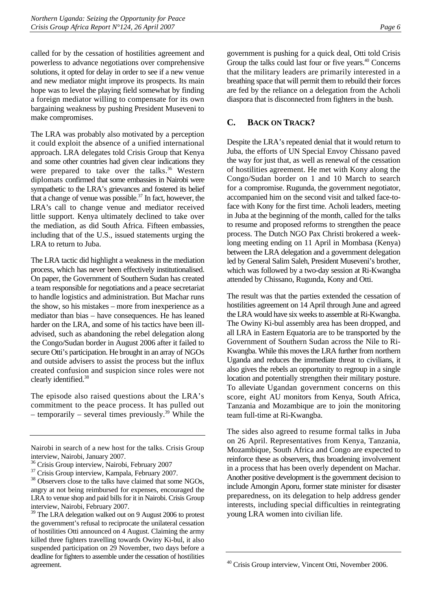called for by the cessation of hostilities agreement and powerless to advance negotiations over comprehensive solutions, it opted for delay in order to see if a new venue and new mediator might improve its prospects. Its main hope was to level the playing field somewhat by finding a foreign mediator willing to compensate for its own bargaining weakness by pushing President Museveni to make compromises.

The LRA was probably also motivated by a perception it could exploit the absence of a unified international approach. LRA delegates told Crisis Group that Kenya and some other countries had given clear indications they were prepared to take over the talks.<sup>36</sup> Western diplomats confirmed that some embassies in Nairobi were sympathetic to the LRA's grievances and fostered its belief that a change of venue was possible.[37 I](#page-10-2)n fact, however, the LRA's call to change venue and mediator received little support. Kenya ultimately declined to take over the mediation, as did South Africa. Fifteen embassies, including that of the U.S., issued statements urging the LRA to return to Juba.

The LRA tactic did highlight a weakness in the mediation process, which has never been effectively institutionalised. On paper, the Government of Southern Sudan has created a team responsible for negotiations and a peace secretariat to handle logistics and administration. But Machar runs the show, so his mistakes – more from inexperience as a mediator than bias – have consequences. He has leaned harder on the LRA, and some of his tactics have been illadvised, such as abandoning the rebel delegation along the Congo/Sudan border in August 2006 after it failed to secure Otti's participation. He brought in an array of NGOs and outside advisers to assist the process but the influx created confusion and suspicion since roles were not clearly identified[.38](#page-10-3)

The episode also raised questions about the LRA's commitment to the peace process. It has pulled out – temporarily – several times previously.<sup>39</sup> While the government is pushing for a quick deal, Otti told Crisis Group the talks could last four or five years.<sup>40</sup> Concerns that the military leaders are primarily interested in a breathing space that will permit them to rebuild their forces are fed by the reliance on a delegation from the Acholi diaspora that is disconnected from fighters in the bush.

### <span id="page-10-0"></span>**C. BACK ON TRACK?**

Despite the LRA's repeated denial that it would return to Juba, the efforts of UN Special Envoy Chissano paved the way for just that, as well as renewal of the cessation of hostilities agreement. He met with Kony along the Congo/Sudan border on 1 and 10 March to search for a compromise. Rugunda, the government negotiator, accompanied him on the second visit and talked face-toface with Kony for the first time. Acholi leaders, meeting in Juba at the beginning of the month, called for the talks to resume and proposed reforms to strengthen the peace process. The Dutch NGO Pax Christi brokered a weeklong meeting ending on 11 April in Mombasa (Kenya) between the LRA delegation and a government delegation led by General Salim Saleh, President Museveni's brother, which was followed by a two-day session at Ri-Kwangba attended by Chissano, Rugunda, Kony and Otti.

The result was that the parties extended the cessation of hostilities agreement on 14 April through June and agreed the LRA would have six weeks to assemble at Ri-Kwangba. The Owiny Ki-bul assembly area has been dropped, and all LRA in Eastern Equatoria are to be transported by the Government of Southern Sudan across the Nile to Ri-Kwangba. While this moves the LRA further from northern Uganda and reduces the immediate threat to civilians, it also gives the rebels an opportunity to regroup in a single location and potentially strengthen their military posture. To alleviate Ugandan government concerns on this score, eight AU monitors from Kenya, South Africa, Tanzania and Mozambique are to join the monitoring team full-time at Ri-Kwangba.

The sides also agreed to resume formal talks in Juba on 26 April. Representatives from Kenya, Tanzania, Mozambique, South Africa and Congo are expected to reinforce these as observers, thus broadening involvement in a process that has been overly dependent on Machar. Another positive development is the government decision to include Amongin Aporu, former state minister for disaster preparedness, on its delegation to help address gender interests, including special difficulties in reintegrating young LRA women into civilian life.

Nairobi in search of a new host for the talks. Crisis Group interview, Nairobi, January 2007.

<span id="page-10-1"></span><sup>36</sup> Crisis Group interview, Nairobi, February 2007

<span id="page-10-2"></span><sup>&</sup>lt;sup>37</sup> Crisis Group interview, Kampala, February 2007.

<span id="page-10-3"></span><sup>&</sup>lt;sup>38</sup> Observers close to the talks have claimed that some NGOs, angry at not being reimbursed for expenses, encouraged the LRA to venue shop and paid bills for it in Nairobi. Crisis Group interview, Nairobi, February 2007.

<span id="page-10-4"></span><sup>&</sup>lt;sup>39</sup> The LRA delegation walked out on 9 August 2006 to protest the government's refusal to reciprocate the unilateral cessation of hostilities Otti announced on 4 August. Claiming the army killed three fighters travelling towards Owiny Ki-bul, it also suspended participation on 29 November, two days before a deadline for fighters to assemble under the cessation of hostilities agreement.

<span id="page-10-5"></span><sup>&</sup>lt;sup>40</sup> Crisis Group interview, Vincent Otti, November 2006.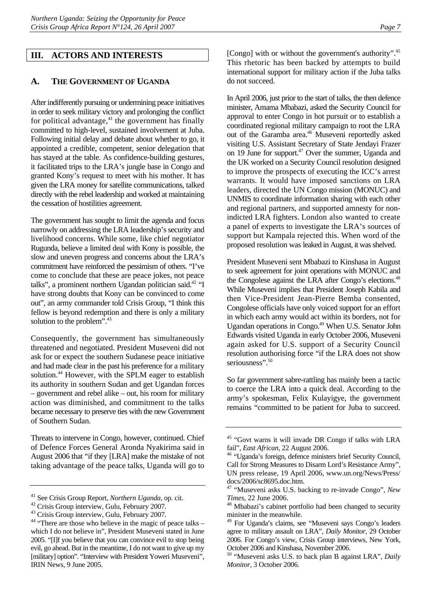#### <span id="page-11-0"></span>**III. ACTORS AND INTERESTS**

#### <span id="page-11-1"></span>**A. THE GOVERNMENT OF UGANDA**

After indifferently pursuing or undermining peace initiatives in order to seek military victory and prolonging the conflict for political advantage, $41$  the government has finally committed to high-level, sustained involvement at Juba. Following initial delay and debate about whether to go, it appointed a credible, competent, senior delegation that has stayed at the table. As confidence-building gestures, it facilitated trips to the LRA's jungle base in Congo and granted Kony's request to meet with his mother. It has given the LRA money for satellite communications, talked directly with the rebel leadership and worked at maintaining the cessation of hostilities agreement.

The government has sought to limit the agenda and focus narrowly on addressing the LRA leadership's security and livelihood concerns. While some, like chief negotiator Rugunda, believe a limited deal with Kony is possible, the slow and uneven progress and concerns about the LRA's commitment have reinforced the pessimism of others. "I've come to conclude that these are peace jokes, not peace talks", a prominent northern Ugandan politician said.<sup>42</sup> "I have strong doubts that Kony can be convinced to come out", an army commander told Crisis Group, "I think this fellow is beyond redemption and there is only a military solution to the problem".<sup>43</sup>

Consequently, the government has simultaneously threatened and negotiated. President Museveni did not ask for or expect the southern Sudanese peace initiative and had made clear in the past his preference for a military solution.<sup>44</sup> However, with the SPLM eager to establish its authority in southern Sudan and get Ugandan forces – government and rebel alike – out, his room for military action was diminished, and commitment to the talks became necessary to preserve ties with the new Government of Southern Sudan.

Threats to intervene in Congo, however, continued. Chief of Defence Forces General Aronda Nyakirima said in August 2006 that "if they [LRA] make the mistake of not taking advantage of the peace talks, Uganda will go to

[Congo] with or without the government's authority".<sup>45</sup> This rhetoric has been backed by attempts to build international support for military action if the Juba talks do not succeed.

In April 2006, just prior to the start of talks, the then defence minister, Amama Mbabazi, asked the Security Council for approval to enter Congo in hot pursuit or to establish a coordinated regional military campaign to root the LRA out of the Garamba area.<sup>46</sup> Museveni reportedly asked visiting U.S. Assistant Secretary of State Jendayi Frazer on 19 June for support.<sup>47</sup> Over the summer, Uganda and the UK worked on a Security Council resolution designed to improve the prospects of executing the ICC's arrest warrants. It would have imposed sanctions on LRA leaders, directed the UN Congo mission (MONUC) and UNMIS to coordinate information sharing with each other and regional partners, and supported amnesty for nonindicted LRA fighters. London also wanted to create a panel of experts to investigate the LRA's sources of support but Kampala rejected this. When word of the proposed resolution was leaked in August, it was shelved.

President Museveni sent Mbabazi to Kinshasa in August to seek agreement for joint operations with MONUC and the Congolese against the LRA after Congo's elections.<sup>48</sup> While Museveni implies that President Joseph Kabila and then Vice-President Jean-Pierre Bemba consented, Congolese officials have only voiced support for an effort in which each army would act within its borders, not for Ugandan operations in Congo.<sup>49</sup> When U.S. Senator John Edwards visited Uganda in early October 2006, Museveni again asked for U.S. support of a Security Council resolution authorising force "if the LRA does not show seriousness".<sup>50</sup>

So far government sabre-rattling has mainly been a tactic to coerce the LRA into a quick deal. According to the army's spokesman, Felix Kulayigye, the government remains "committed to be patient for Juba to succeed.

<span id="page-11-2"></span><sup>41</sup> See Crisis Group Report, *Northern Uganda*, op. cit. 42 Crisis Group interview, Gulu, February 2007.

<span id="page-11-3"></span>

<span id="page-11-4"></span><sup>43</sup> Crisis Group interview, Gulu, February 2007.

<span id="page-11-5"></span><sup>&</sup>lt;sup>44</sup> "There are those who believe in the magic of peace talks – which I do not believe in", President Museveni stated in June 2005. "[I]f you believe that you can convince evil to stop being evil, go ahead. But in the meantime, I do not want to give up my [military] option". "Interview with President Yoweri Museveni", IRIN News, 9 June 2005.

<span id="page-11-6"></span><sup>&</sup>lt;sup>45</sup> "Govt warns it will invade DR Congo if talks with LRA fail", *East African*, 22 August 2006.<br><sup>46</sup> "Uganda's foreign, defence ministers brief Security Council,

<span id="page-11-7"></span>Call for Strong Measures to Disarm Lord's Resistance Army", UN press release, 19 April 2006, www.un.org/News/Press/ docs/2006/sc8695.doc.htm.

<span id="page-11-8"></span><sup>47 &</sup>quot;Museveni asks U.S. backing to re-invade Congo", *New Times*, 22 June 2006.<br><sup>48</sup> Mbabazi's cabinet portfolio had been changed to security

<span id="page-11-9"></span>minister in the meanwhile.

<span id="page-11-10"></span><sup>49</sup> For Uganda's claims, see "Museveni says Congo's leaders agree to military assault on LRA", *Daily Monitor*, 29 October 2006. For Congo's view, Crisis Group interviews, New York, October 2006 and Kinshasa, November 2006.

<span id="page-11-11"></span><sup>50 &</sup>quot;Museveni asks U.S. to back plan B against LRA", *Daily Monitor*, 3 October 2006.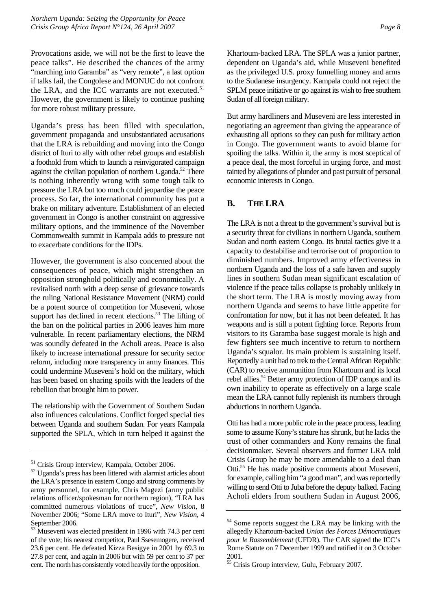Provocations aside, we will not be the first to leave the peace talks". He described the chances of the army "marching into Garamba" as "very remote", a last option if talks fail, the Congolese and MONUC do not confront the LRA, and the ICC warrants are not executed. $51$ However, the government is likely to continue pushing for more robust military pressure.

Uganda's press has been filled with speculation, government propaganda and unsubstantiated accusations that the LRA is rebuilding and moving into the Congo district of Ituri to ally with other rebel groups and establish a foothold from which to launch a reinvigorated campaign against the civilian population of northern Uganda.<sup>52</sup> There is nothing inherently wrong with some tough talk to pressure the LRA but too much could jeopardise the peace process. So far, the international community has put a brake on military adventure. Establishment of an elected government in Congo is another constraint on aggressive military options, and the imminence of the November Commonwealth summit in Kampala adds to pressure not to exacerbate conditions for the IDPs.

However, the government is also concerned about the consequences of peace, which might strengthen an opposition stronghold politically and economically. A revitalised north with a deep sense of grievance towards the ruling National Resistance Movement (NRM) could be a potent source of competition for Museveni, whose support has declined in recent elections.<sup>53</sup> The lifting of the ban on the political parties in 2006 leaves him more vulnerable. In recent parliamentary elections, the NRM was soundly defeated in the Acholi areas. Peace is also likely to increase international pressure for security sector reform, including more transparency in army finances. This could undermine Museveni's hold on the military, which has been based on sharing spoils with the leaders of the rebellion that brought him to power.

The relationship with the Government of Southern Sudan also influences calculations. Conflict forged special ties between Uganda and southern Sudan. For years Kampala supported the SPLA, which in turn helped it against the Khartoum-backed LRA. The SPLA was a junior partner, dependent on Uganda's aid, while Museveni benefited as the privileged U.S. proxy funnelling money and arms to the Sudanese insurgency. Kampala could not reject the SPLM peace initiative or go against its wish to free southern Sudan of all foreign military.

But army hardliners and Museveni are less interested in negotiating an agreement than giving the appearance of exhausting all options so they can push for military action in Congo. The government wants to avoid blame for spoiling the talks. Within it, the army is most sceptical of a peace deal, the most forceful in urging force, and most tainted by allegations of plunder and past pursuit of personal economic interests in Congo.

### <span id="page-12-0"></span>**B. THE LRA**

The LRA is not a threat to the government's survival but is a security threat for civilians in northern Uganda, southern Sudan and north eastern Congo. Its brutal tactics give it a capacity to destabilise and terrorise out of proportion to diminished numbers. Improved army effectiveness in northern Uganda and the loss of a safe haven and supply lines in southern Sudan mean significant escalation of violence if the peace talks collapse is probably unlikely in the short term. The LRA is mostly moving away from northern Uganda and seems to have little appetite for confrontation for now, but it has not been defeated. It has weapons and is still a potent fighting force. Reports from visitors to its Garamba base suggest morale is high and few fighters see much incentive to return to northern Uganda's squalor. Its main problem is sustaining itself. Reportedly a unit had to trek to the Central African Republic (CAR) to receive ammunition from Khartoum and its local rebel allies.<sup>54</sup> Better army protection of IDP camps and its own inability to operate as effectively on a large scale mean the LRA cannot fully replenish its numbers through abductions in northern Uganda.

Otti has had a more public role in the peace process, leading some to assume Kony's stature has shrunk, but he lacks the trust of other commanders and Kony remains the final decisionmaker. Several observers and former LRA told Crisis Group he may be more amendable to a deal than Otti.[55](#page-12-5) He has made positive comments about Museveni, for example, calling him "a good man", and was reportedly willing to send Otti to Juba before the deputy balked. Facing Acholi elders from southern Sudan in August 2006,

<span id="page-12-1"></span><sup>51</sup> Crisis Group interview, Kampala, October 2006.

<span id="page-12-2"></span><sup>52</sup> Uganda's press has been littered with alarmist articles about the LRA's presence in eastern Congo and strong comments by army personnel, for example, Chris Magezi (army public relations officer/spokesman for northern region), "LRA has committed numerous violations of truce", *New Vision*, 8 November 2006; "Some LRA move to Ituri", *New Vision*, 4 September 2006.

<span id="page-12-3"></span><sup>&</sup>lt;sup>53</sup> Museveni was elected president in 1996 with 74.3 per cent of the vote; his nearest competitor, Paul Ssesemogere, received 23.6 per cent. He defeated Kizza Besigye in 2001 by 69.3 to 27.8 per cent, and again in 2006 but with 59 per cent to 37 per cent. The north has consistently voted heavily for the opposition.

<span id="page-12-4"></span><sup>54</sup> Some reports suggest the LRA may be linking with the allegedly Khartoum-backed *Union des Forces Démocratiques pour le Rassemblement* (UFDR). The CAR signed the ICC's Rome Statute on 7 December 1999 and ratified it on 3 October 2001.

<span id="page-12-5"></span><sup>55</sup> Crisis Group interview, Gulu, February 2007.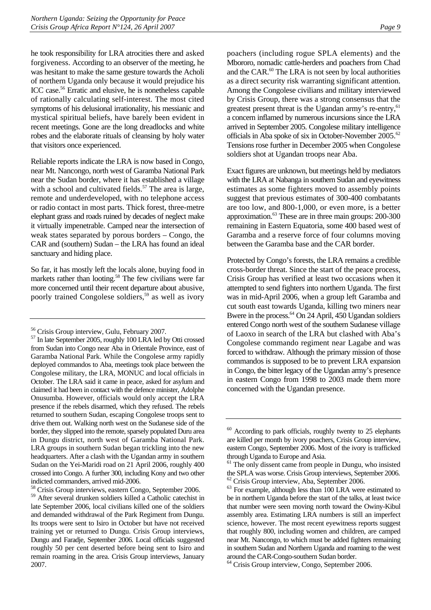he took responsibility for LRA atrocities there and asked forgiveness. According to an observer of the meeting, he was hesitant to make the same gesture towards the Acholi of northern Uganda only because it would prejudice his ICC case.<sup>56</sup> Erratic and elusive, he is nonetheless capable of rationally calculating self-interest. The most cited symptoms of his delusional irrationality, his messianic and mystical spiritual beliefs, have barely been evident in recent meetings. Gone are the long dreadlocks and white robes and the elaborate rituals of cleansing by holy water that visitors once experienced.

Reliable reports indicate the LRA is now based in Congo, near Mt. Nancongo, north west of Garamba National Park near the Sudan border, where it has established a village with a school and cultivated fields.<sup>57</sup> The area is large, remote and underdeveloped, with no telephone access or radio contact in most parts. Thick forest, three-metre elephant grass and roads ruined by decades of neglect make it virtually impenetrable. Camped near the intersection of weak states separated by porous borders – Congo, the CAR and (southern) Sudan – the LRA has found an ideal sanctuary and hiding place.

So far, it has mostly left the locals alone, buying food in markets rather than looting.<sup>58</sup> The few civilians were far more concerned until their recent departure about abusive, poorly trained Congolese soldiers,<sup>59</sup> as well as ivory

<span id="page-13-2"></span>58 Crisis Group interviews, eastern Congo, September 2006.

poachers (including rogue SPLA elements) and the Mbororo, nomadic cattle-herders and poachers from Chad and the CAR.<sup>60</sup> The LRA is not seen by local authorities as a direct security risk warranting significant attention. Among the Congolese civilians and military interviewed by Crisis Group, there was a strong consensus that the greatest present threat is the Ugandan army's re-entry,<sup>61</sup> a concern inflamed by numerous incursions since the LRA arrived in September 2005. Congolese military intelligence officials in Aba spoke of six in October-November 2005.<sup>62</sup> Tensions rose further in December 2005 when Congolese soldiers shot at Ugandan troops near Aba.

Exact figures are unknown, but meetings held by mediators with the LRA at Nabanga in southern Sudan and eyewitness estimates as some fighters moved to assembly points suggest that previous estimates of 300-400 combatants are too low, and 800-1,000, or even more, is a better approximation.[63 T](#page-13-7)hese are in three main groups: 200-300 remaining in Eastern Equatoria, some 400 based west of Garamba and a reserve force of four columns moving between the Garamba base and the CAR border.

Protected by Congo's forests, the LRA remains a credible cross-border threat. Since the start of the peace process, Crisis Group has verified at least two occasions when it attempted to send fighters into northern Uganda. The first was in mid-April 2006, when a group left Garamba and cut south east towards Uganda, killing two miners near Bwere in the process.<sup>64</sup> On 24 April, 450 Ugandan soldiers entered Congo north west of the southern Sudanese village of Laoxo in search of the LRA but clashed with Aba's Congolese commando regiment near Lagabe and was forced to withdraw. Although the primary mission of those commandos is supposed to be to prevent LRA expansion in Congo, the bitter legacy of the Ugandan army's presence in eastern Congo from 1998 to 2003 made them more concerned with the Ugandan presence.

<span id="page-13-0"></span><sup>56</sup> Crisis Group interview, Gulu, February 2007.

<span id="page-13-1"></span><sup>57</sup> In late September 2005, roughly 100 LRA led by Otti crossed from Sudan into Congo near Aba in Orientale Province, east of Garamba National Park. While the Congolese army rapidly deployed commandos to Aba, meetings took place between the Congolese military, the LRA, MONUC and local officials in October. The LRA said it came in peace, asked for asylum and claimed it had been in contact with the defence minister, Adolphe Onusumba. However, officials would only accept the LRA presence if the rebels disarmed, which they refused. The rebels returned to southern Sudan, escaping Congolese troops sent to drive them out. Walking north west on the Sudanese side of the border, they slipped into the remote, sparsely populated Duru area in Dungu district, north west of Garamba National Park. LRA groups in southern Sudan began trickling into the new headquarters. After a clash with the Ugandan army in southern Sudan on the Yei-Maridi road on 21 April 2006, roughly 400 crossed into Congo. A further 300, including Kony and two other indicted commanders, arrived mid-2006.

<span id="page-13-3"></span><sup>&</sup>lt;sup>59</sup> After several drunken soldiers killed a Catholic catechist in late September 2006, local civilians killed one of the soldiers and demanded withdrawal of the Park Regiment from Dungu. Its troops were sent to Isiro in October but have not received training yet or returned to Dungu. Crisis Group interviews, Dungu and Faradje, September 2006. Local officials suggested roughly 50 per cent deserted before being sent to Isiro and remain roaming in the area. Crisis Group interviews, January 2007.

<span id="page-13-4"></span> $60$  According to park officials, roughly twenty to 25 elephants are killed per month by ivory poachers, Crisis Group interview, eastern Congo, September 2006. Most of the ivory is trafficked through Uganda to Europe and Asia.

<span id="page-13-5"></span> $61$  The only dissent came from people in Dungu, who insisted the SPLA was worse. Crisis Group interviews, September 2006. <sup>62</sup> Crisis Group interview, Aba, September 2006.

<span id="page-13-7"></span><span id="page-13-6"></span><sup>&</sup>lt;sup>63</sup> For example, although less than 100 LRA were estimated to be in northern Uganda before the start of the talks, at least twice that number were seen moving north toward the Owiny-Kibul assembly area. Estimating LRA numbers is still an imperfect science, however. The most recent eyewitness reports suggest that roughly 800, including women and children, are camped near Mt. Nancongo, to which must be added fighters remaining in southern Sudan and Northern Uganda and roaming to the west around the CAR-Congo-southern Sudan border.

<span id="page-13-8"></span><sup>&</sup>lt;sup>64</sup> Crisis Group interview, Congo, September 2006.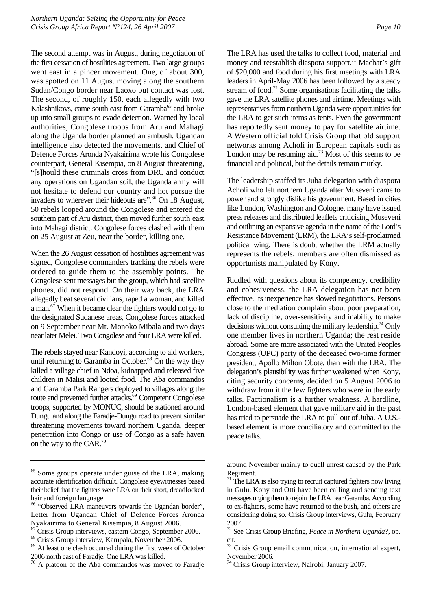The second attempt was in August, during negotiation of the first cessation of hostilities agreement. Two large groups went east in a pincer movement. One, of about 300, was spotted on 11 August moving along the southern Sudan/Congo border near Laoxo but contact was lost. The second, of roughly 150, each allegedly with two Kalashnikovs, came south east from Garamba<sup>65</sup> and broke up into small groups to evade detection. Warned by local authorities, Congolese troops from Aru and Mahagi along the Uganda border planned an ambush. Ugandan intelligence also detected the movements, and Chief of Defence Forces Aronda Nyakairima wrote his Congolese counterpart, General Kisempia, on 8 August threatening, "[s]hould these criminals cross from DRC and conduct any operations on Ugandan soil, the Uganda army will not hesitate to defend our country and hot pursue the invaders to wherever their hideouts are".<sup>66</sup> On 18 August, 50 rebels looped around the Congolese and entered the southern part of Aru district, then moved further south east into Mahagi district. Congolese forces clashed with them on 25 August at Zeu, near the border, killing one.

When the 26 August cessation of hostilities agreement was signed, Congolese commanders tracking the rebels were ordered to guide them to the assembly points. The Congolese sent messages but the group, which had satellite phones, did not respond. On their way back, the LRA allegedly beat several civilians, raped a woman, and killed a man[.67 W](#page-14-2)hen it became clear the fighters would not go to the designated Sudanese areas, Congolese forces attacked on 9 September near Mt. Monoko Mibala and two days near later Melei. Two Congolese and four LRA were killed.

The rebels stayed near Kandoyi, according to aid workers, until returning to Garamba in October.<sup>68</sup> On the way they killed a village chief in Ndoa, kidnapped and released five children in Malisi and looted food. The Aba commandos and Garamba Park Rangers deployed to villages along the route and prevented further attacks.<sup>69</sup> Competent Congolese troops, supported by MONUC, should be stationed around Dungu and along the Faradje-Dungu road to prevent similar threatening movements toward northern Uganda, deeper penetration into Congo or use of Congo as a safe haven on the way to the CAR[.70](#page-14-5) 

The LRA has used the talks to collect food, material and money and reestablish diaspora support.<sup>71</sup> Machar's gift of \$20,000 and food during his first meetings with LRA leaders in April-May 2006 has been followed by a steady stream of food.<sup>72</sup> Some organisations facilitating the talks gave the LRA satellite phones and airtime. Meetings with representatives from northern Uganda were opportunities for the LRA to get such items as tents. Even the government has reportedly sent money to pay for satellite airtime. A Western official told Crisis Group that old support networks among Acholi in European capitals such as London may be resuming aid. $73$  Most of this seems to be financial and political, but the details remain murky.

The leadership staffed its Juba delegation with diaspora Acholi who left northern Uganda after Museveni came to power and strongly dislike his government. Based in cities like London, Washington and Cologne, many have issued press releases and distributed leaflets criticising Museveni and outlining an expansive agenda in the name of the Lord's Resistance Movement (LRM), the LRA's self-proclaimed political wing. There is doubt whether the LRM actually represents the rebels; members are often dismissed as opportunists manipulated by Kony.

Riddled with questions about its competency, credibility and cohesiveness, the LRA delegation has not been effective. Its inexperience has slowed negotiations. Persons close to the mediation complain about poor preparation, lack of discipline, over-sensitivity and inability to make decisions without consulting the military leadership.<sup>74</sup> Only one member lives in northern Uganda; the rest reside abroad. Some are more associated with the United Peoples Congress (UPC) party of the deceased two-time former president, Apollo Milton Obote, than with the LRA. The delegation's plausibility was further weakened when Kony, citing security concerns, decided on 5 August 2006 to withdraw from it the few fighters who were in the early talks. Factionalism is a further weakness. A hardline, London-based element that gave military aid in the past has tried to persuade the LRA to pull out of Juba. A U.S. based element is more conciliatory and committed to the peace talks.

<span id="page-14-0"></span><sup>&</sup>lt;sup>65</sup> Some groups operate under guise of the LRA, making accurate identification difficult. Congolese eyewitnesses based their belief that the fighters were LRA on their short, dreadlocked hair and foreign language.

<span id="page-14-1"></span><sup>&</sup>lt;sup>66</sup> "Observed LRA maneuvers towards the Ugandan border", Letter from Ugandan Chief of Defence Forces Aronda Nyakairima to General Kisempia, 8 August 2006.

<span id="page-14-2"></span><sup>&</sup>lt;sup>67</sup> Crisis Group interviews, eastern Congo, September 2006.

<span id="page-14-3"></span><sup>68</sup> Crisis Group interview, Kampala, November 2006.

<span id="page-14-4"></span><sup>&</sup>lt;sup>69</sup> At least one clash occurred during the first week of October 2006 north east of Faradje. One LRA was killed.

<span id="page-14-5"></span> $70$  A platoon of the Aba commandos was moved to Faradje

around November mainly to quell unrest caused by the Park Regiment.

<span id="page-14-6"></span> $71$  The LRA is also trying to recruit captured fighters now living in Gulu. Kony and Otti have been calling and sending text messages urging them to rejoin the LRA near Garamba. According to ex-fighters, some have returned to the bush, and others are considering doing so. Crisis Group interviews, Gulu, February 2007.

<span id="page-14-7"></span><sup>72</sup> See Crisis Group Briefing, *Peace in Northern Uganda?*, op.  $\frac{\text{cit.}}{73}$ 

<span id="page-14-8"></span>Crisis Group email communication, international expert, November 2006.

<span id="page-14-9"></span><sup>&</sup>lt;sup>74</sup> Crisis Group interview, Nairobi, January 2007.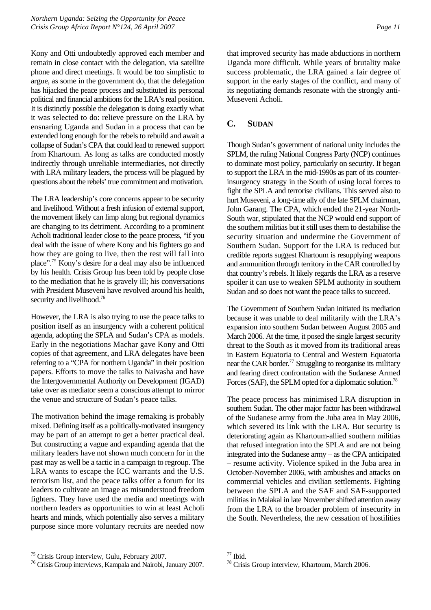Kony and Otti undoubtedly approved each member and remain in close contact with the delegation, via satellite phone and direct meetings. It would be too simplistic to argue, as some in the government do, that the delegation has hijacked the peace process and substituted its personal political and financial ambitions for the LRA's real position. It is distinctly possible the delegation is doing exactly what it was selected to do: relieve pressure on the LRA by ensnaring Uganda and Sudan in a process that can be extended long enough for the rebels to rebuild and await a collapse of Sudan's CPA that could lead to renewed support from Khartoum. As long as talks are conducted mostly indirectly through unreliable intermediaries, not directly with LRA military leaders, the process will be plagued by questions about the rebels' true commitment and motivation.

The LRA leadership's core concerns appear to be security and livelihood. Without a fresh infusion of external support, the movement likely can limp along but regional dynamics are changing to its detriment. According to a prominent Acholi traditional leader close to the peace process, "if you deal with the issue of where Kony and his fighters go and how they are going to live, then the rest will fall into place"[.75 K](#page-15-1)ony's desire for a deal may also be influenced by his health. Crisis Group has been told by people close to the mediation that he is gravely ill; his conversations with President Museveni have revolved around his health, security and livelihood.<sup>[76](#page-15-2)</sup>

However, the LRA is also trying to use the peace talks to position itself as an insurgency with a coherent political agenda, adopting the SPLA and Sudan's CPA as models. Early in the negotiations Machar gave Kony and Otti copies of that agreement, and LRA delegates have been referring to a "CPA for northern Uganda" in their position papers. Efforts to move the talks to Naivasha and have the Intergovernmental Authority on Development (IGAD) take over as mediator seem a conscious attempt to mirror the venue and structure of Sudan's peace talks.

The motivation behind the image remaking is probably mixed. Defining itself as a politically-motivated insurgency may be part of an attempt to get a better practical deal. But constructing a vague and expanding agenda that the military leaders have not shown much concern for in the past may as well be a tactic in a campaign to regroup. The LRA wants to escape the ICC warrants and the U.S. terrorism list, and the peace talks offer a forum for its leaders to cultivate an image as misunderstood freedom fighters. They have used the media and meetings with northern leaders as opportunities to win at least Acholi hearts and minds, which potentially also serves a military purpose since more voluntary recruits are needed now

that improved security has made abductions in northern Uganda more difficult. While years of brutality make success problematic, the LRA gained a fair degree of support in the early stages of the conflict, and many of its negotiating demands resonate with the strongly anti-Museveni Acholi.

### <span id="page-15-0"></span>**C. SUDAN**

Though Sudan's government of national unity includes the SPLM, the ruling National Congress Party (NCP) continues to dominate most policy, particularly on security. It began to support the LRA in the mid-1990s as part of its counterinsurgency strategy in the South of using local forces to fight the SPLA and terrorise civilians. This served also to hurt Museveni, a long-time ally of the late SPLM chairman, John Garang. The CPA, which ended the 21-year North-South war, stipulated that the NCP would end support of the southern militias but it still uses them to destabilise the security situation and undermine the Government of Southern Sudan. Support for the LRA is reduced but credible reports suggest Khartoum is resupplying weapons and ammunition through territory in the CAR controlled by that country's rebels. It likely regards the LRA as a reserve spoiler it can use to weaken SPLM authority in southern Sudan and so does not want the peace talks to succeed.

The Government of Southern Sudan initiated its mediation because it was unable to deal militarily with the LRA's expansion into southern Sudan between August 2005 and March 2006. At the time, it posed the single largest security threat to the South as it moved from its traditional areas in Eastern Equatoria to Central and Western Equatoria near the CAR border.<sup>77</sup> Struggling to reorganise its military and fearing direct confrontation with the Sudanese Armed Forces (SAF), the SPLM opted for a diplomatic solution.<sup>[78](#page-15-4)</sup>

The peace process has minimised LRA disruption in southern Sudan. The other major factor has been withdrawal of the Sudanese army from the Juba area in May 2006, which severed its link with the LRA. But security is deteriorating again as Khartoum-allied southern militias that refused integration into the SPLA and are not being integrated into the Sudanese army – as the CPA anticipated – resume activity. Violence spiked in the Juba area in October-November 2006, with ambushes and attacks on commercial vehicles and civilian settlements. Fighting between the SPLA and the SAF and SAF-supported militias in Malakal in late November shifted attention away from the LRA to the broader problem of insecurity in the South. Nevertheless, the new cessation of hostilities

<span id="page-15-1"></span><sup>75</sup> Crisis Group interview, Gulu, February 2007.

<span id="page-15-2"></span><sup>76</sup> Crisis Group interviews, Kampala and Nairobi, January 2007.

<span id="page-15-3"></span><sup>77</sup> Ibid.

<span id="page-15-4"></span><sup>&</sup>lt;sup>78</sup> Crisis Group interview, Khartoum, March 2006.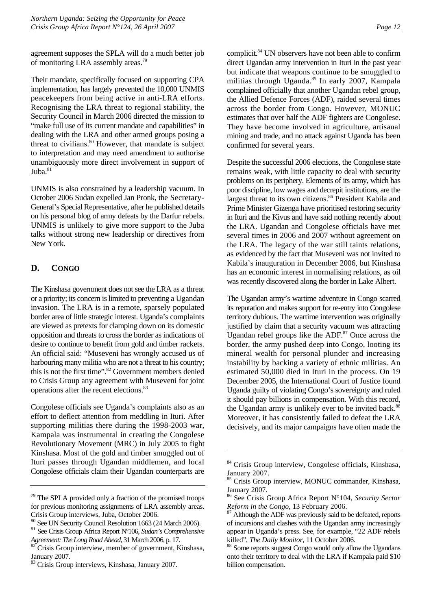agreement supposes the SPLA will do a much better job of monitoring LRA assembly areas.[79](#page-16-1)

Their mandate, specifically focused on supporting CPA implementation, has largely prevented the 10,000 UNMIS peacekeepers from being active in anti-LRA efforts. Recognising the LRA threat to regional stability, the Security Council in March 2006 directed the mission to "make full use of its current mandate and capabilities" in dealing with the LRA and other armed groups posing a threat to civilians. $80$  However, that mandate is subject to interpretation and may need amendment to authorise unambiguously more direct involvement in support of Juba. $81$ 

UNMIS is also constrained by a leadership vacuum. In October 2006 Sudan expelled Jan Pronk, the Secretary-General's Special Representative, after he published details on his personal blog of army defeats by the Darfur rebels. UNMIS is unlikely to give more support to the Juba talks without strong new leadership or directives from New York.

### <span id="page-16-0"></span>**D. CONGO**

The Kinshasa government does not see the LRA as a threat or a priority; its concern is limited to preventing a Ugandan invasion. The LRA is in a remote, sparsely populated border area of little strategic interest. Uganda's complaints are viewed as pretexts for clamping down on its domestic opposition and threats to cross the border as indications of desire to continue to benefit from gold and timber rackets. An official said: "Museveni has wrongly accused us of harbouring many militia who are not a threat to his country; this is not the first time".<sup>82</sup> Government members denied to Crisis Group any agreement with Museveni for joint operations after the recent elections.[83](#page-16-5) 

Congolese officials see Uganda's complaints also as an effort to deflect attention from meddling in Ituri. After supporting militias there during the 1998-2003 war, Kampala was instrumental in creating the Congolese Revolutionary Movement (MRC) in July 2005 to fight Kinshasa. Most of the gold and timber smuggled out of Ituri passes through Ugandan middlemen, and local Congolese officials claim their Ugandan counterparts are complicit.<sup>84</sup> UN observers have not been able to confirm direct Ugandan army intervention in Ituri in the past year but indicate that weapons continue to be smuggled to militias through Uganda.<sup>85</sup> In early 2007, Kampala complained officially that another Ugandan rebel group,

the Allied Defence Forces (ADF), raided several times across the border from Congo. However, MONUC estimates that over half the ADF fighters are Congolese. They have become involved in agriculture, artisanal mining and trade, and no attack against Uganda has been confirmed for several years.

Despite the successful 2006 elections, the Congolese state remains weak, with little capacity to deal with security problems on its periphery. Elements of its army, which has poor discipline, low wages and decrepit institutions, are the largest threat to its own citizens.<sup>86</sup> President Kabila and Prime Minister Gizenga have prioritised restoring security in Ituri and the Kivus and have said nothing recently about the LRA. Ugandan and Congolese officials have met several times in 2006 and 2007 without agreement on the LRA. The legacy of the war still taints relations, as evidenced by the fact that Museveni was not invited to Kabila's inauguration in December 2006, but Kinshasa has an economic interest in normalising relations, as oil was recently discovered along the border in Lake Albert.

The Ugandan army's wartime adventure in Congo scarred its reputation and makes support for re-entry into Congolese territory dubious. The wartime intervention was originally justified by claim that a security vacuum was attracting Ugandan rebel groups like the  $ADF<sub>.87</sub>$  Once across the border, the army pushed deep into Congo, looting its mineral wealth for personal plunder and increasing instability by backing a variety of ethnic militias. An estimated 50,000 died in Ituri in the process. On 19 December 2005, the International Court of Justice found Uganda guilty of violating Congo's sovereignty and ruled it should pay billions in compensation. With this record, the Ugandan army is unlikely ever to be invited back.<sup>88</sup> Moreover, it has consistently failed to defeat the LRA decisively, and its major campaigns have often made the

<span id="page-16-1"></span><sup>79</sup> The SPLA provided only a fraction of the promised troops for previous monitoring assignments of LRA assembly areas. Crisis Group interviews, Juba, October 2006.

<span id="page-16-2"></span><sup>80</sup> See UN Security Council Resolution 1663 (24 March 2006).

<span id="page-16-3"></span><sup>81</sup> See Crisis Group Africa Report Nº106, *Sudan's Comprehensive Agreement: The Long Road Ahead*, 31 March 2006, p. 17. 82 Crisis Group interview, member of government, Kinshasa,

<span id="page-16-4"></span>January 2007.

<span id="page-16-5"></span><sup>&</sup>lt;sup>83</sup> Crisis Group interviews, Kinshasa, January 2007.

<span id="page-16-6"></span><sup>84</sup> Crisis Group interview, Congolese officials, Kinshasa, January 2007.

<span id="page-16-7"></span><sup>85</sup> Crisis Group interview, MONUC commander, Kinshasa, January 2007.

<span id="page-16-8"></span><sup>86</sup> See Crisis Group Africa Report N°104, *Security Sector* 

<span id="page-16-9"></span>*Reform in the Congo*, 13 February 2006.<br><sup>87</sup> Although the ADF was previously said to be defeated, reports of incursions and clashes with the Ugandan army increasingly appear in Uganda's press. See, for example, "22 ADF rebels killed", *The Daily Monitor*, 11 October 2006.<br><sup>88</sup> Some reports suggest Congo would only allow the Ugandans

<span id="page-16-10"></span>onto their territory to deal with the LRA if Kampala paid \$10 billion compensation.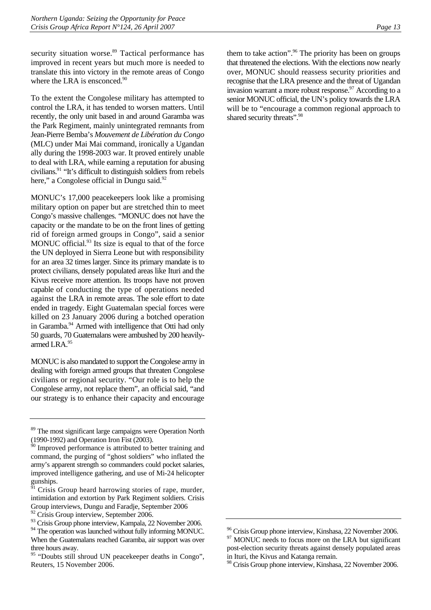security situation worse.<sup>89</sup> Tactical performance has improved in recent years but much more is needed to translate this into victory in the remote areas of Congo where the LRA is ensconced.<sup>[90](#page-17-1)</sup>

To the extent the Congolese military has attempted to control the LRA, it has tended to worsen matters. Until recently, the only unit based in and around Garamba was the Park Regiment, mainly unintegrated remnants from Jean-Pierre Bemba's *Mouvement de Libération du Congo* (MLC) under Mai Mai command, ironically a Ugandan ally during the 1998-2003 war. It proved entirely unable to deal with LRA, while earning a reputation for abusing civilians.[91 "](#page-17-2)It's difficult to distinguish soldiers from rebels here," a Congolese official in Dungu said.<sup>92</sup>

MONUC's 17,000 peacekeepers look like a promising military option on paper but are stretched thin to meet Congo's massive challenges. "MONUC does not have the capacity or the mandate to be on the front lines of getting rid of foreign armed groups in Congo", said a senior MONUC official. $93$  Its size is equal to that of the force the UN deployed in Sierra Leone but with responsibility for an area 32 times larger. Since its primary mandate is to protect civilians, densely populated areas like Ituri and the Kivus receive more attention. Its troops have not proven capable of conducting the type of operations needed against the LRA in remote areas. The sole effort to date ended in tragedy. Eight Guatemalan special forces were killed on 23 January 2006 during a botched operation in Garamba.<sup>94</sup> Armed with intelligence that Otti had only 50 guards, 70 Guatemalans were ambushed by 200 heavilyarmed LRA.[95](#page-17-6) 

MONUC is also mandated to support the Congolese army in dealing with foreign armed groups that threaten Congolese civilians or regional security. "Our role is to help the Congolese army, not replace them", an official said, "and our strategy is to enhance their capacity and encourage

them to take action". <sup>96</sup> The priority has been on groups that threatened the elections. With the elections now nearly over, MONUC should reassess security priorities and recognise that the LRA presence and the threat of Ugandan invasion warrant a more robust response.<sup>97</sup> According to a senior MONUC official, the UN's policy towards the LRA will be to "encourage a common regional approach to shared security threats".<sup>98</sup>

<span id="page-17-0"></span><sup>&</sup>lt;sup>89</sup> The most significant large campaigns were Operation North (1990-1992) and Operation Iron Fist (2003).

<span id="page-17-1"></span> $90$  Improved performance is attributed to better training and command, the purging of "ghost soldiers" who inflated the army's apparent strength so commanders could pocket salaries, improved intelligence gathering, and use of Mi-24 helicopter gunships.

<span id="page-17-2"></span>Crisis Group heard harrowing stories of rape, murder, intimidation and extortion by Park Regiment soldiers. Crisis Group interviews, Dungu and Faradje, September 2006

<span id="page-17-3"></span><sup>&</sup>lt;sup>92</sup> Crisis Group interview, September 2006.

<span id="page-17-4"></span><sup>&</sup>lt;sup>93</sup> Crisis Group phone interview, Kampala, 22 November 2006.

<span id="page-17-5"></span><sup>&</sup>lt;sup>94</sup> The operation was launched without fully informing MONUC. When the Guatemalans reached Garamba, air support was over three hours away.

<span id="page-17-6"></span><sup>&</sup>lt;sup>95</sup> "Doubts still shroud UN peacekeeper deaths in Congo", Reuters, 15 November 2006.

<span id="page-17-7"></span><sup>&</sup>lt;sup>96</sup> Crisis Group phone interview, Kinshasa, 22 November 2006.

<span id="page-17-8"></span><sup>&</sup>lt;sup>97</sup> MONUC needs to focus more on the LRA but significant post-election security threats against densely populated areas in Ituri, the Kivus and Katanga remain.

<span id="page-17-9"></span><sup>&</sup>lt;sup>98</sup> Crisis Group phone interview, Kinshasa, 22 November 2006.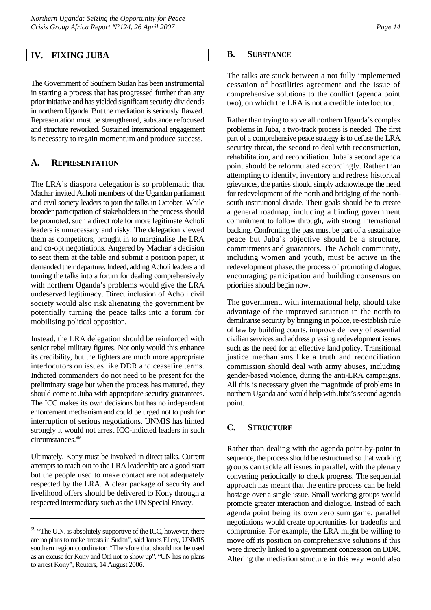### <span id="page-18-0"></span>**IV. FIXING JUBA**

The Government of Southern Sudan has been instrumental in starting a process that has progressed further than any prior initiative and has yielded significant security dividends in northern Uganda. But the mediation is seriously flawed. Representation must be strengthened, substance refocused and structure reworked. Sustained international engagement is necessary to regain momentum and produce success.

#### <span id="page-18-1"></span>**A. REPRESENTATION**

The LRA's diaspora delegation is so problematic that Machar invited Acholi members of the Ugandan parliament and civil society leaders to join the talks in October. While broader participation of stakeholders in the process should be promoted, such a direct role for more legitimate Acholi leaders is unnecessary and risky. The delegation viewed them as competitors, brought in to marginalise the LRA and co-opt negotiations. Angered by Machar's decision to seat them at the table and submit a position paper, it demanded their departure. Indeed, adding Acholi leaders and turning the talks into a forum for dealing comprehensively with northern Uganda's problems would give the LRA undeserved legitimacy. Direct inclusion of Acholi civil society would also risk alienating the government by potentially turning the peace talks into a forum for mobilising political opposition.

Instead, the LRA delegation should be reinforced with senior rebel military figures. Not only would this enhance its credibility, but the fighters are much more appropriate interlocutors on issues like DDR and ceasefire terms. Indicted commanders do not need to be present for the preliminary stage but when the process has matured, they should come to Juba with appropriate security guarantees. The ICC makes its own decisions but has no independent enforcement mechanism and could be urged not to push for interruption of serious negotiations. UNMIS has hinted strongly it would not arrest ICC-indicted leaders in such circumstances[.99](#page-18-4) 

Ultimately, Kony must be involved in direct talks. Current attempts to reach out to the LRA leadership are a good start but the people used to make contact are not adequately respected by the LRA. A clear package of security and livelihood offers should be delivered to Kony through a respected intermediary such as the UN Special Envoy.

#### <span id="page-18-2"></span>**B. SUBSTANCE**

The talks are stuck between a not fully implemented cessation of hostilities agreement and the issue of comprehensive solutions to the conflict (agenda point two), on which the LRA is not a credible interlocutor.

Rather than trying to solve all northern Uganda's complex problems in Juba, a two-track process is needed. The first part of a comprehensive peace strategy is to defuse the LRA security threat, the second to deal with reconstruction, rehabilitation, and reconciliation. Juba's second agenda point should be reformulated accordingly. Rather than attempting to identify, inventory and redress historical grievances, the parties should simply acknowledge the need for redevelopment of the north and bridging of the northsouth institutional divide. Their goals should be to create a general roadmap, including a binding government commitment to follow through, with strong international backing. Confronting the past must be part of a sustainable peace but Juba's objective should be a structure, commitments and guarantors. The Acholi community, including women and youth, must be active in the redevelopment phase; the process of promoting dialogue, encouraging participation and building consensus on priorities should begin now.

The government, with international help, should take advantage of the improved situation in the north to demilitarise security by bringing in police, re-establish rule of law by building courts, improve delivery of essential civilian services and address pressing redevelopment issues such as the need for an effective land policy. Transitional justice mechanisms like a truth and reconciliation commission should deal with army abuses, including gender-based violence, during the anti-LRA campaigns. All this is necessary given the magnitude of problems in northern Uganda and would help with Juba's second agenda point.

### <span id="page-18-3"></span>**C. STRUCTURE**

Rather than dealing with the agenda point-by-point in sequence, the process should be restructured so that working groups can tackle all issues in parallel, with the plenary convening periodically to check progress. The sequential approach has meant that the entire process can be held hostage over a single issue. Small working groups would promote greater interaction and dialogue. Instead of each agenda point being its own zero sum game, parallel negotiations would create opportunities for tradeoffs and compromise. For example, the LRA might be willing to move off its position on comprehensive solutions if this were directly linked to a government concession on DDR. Altering the mediation structure in this way would also

<span id="page-18-4"></span><sup>&</sup>lt;sup>99</sup> "The U.N. is absolutely supportive of the ICC, however, there are no plans to make arrests in Sudan", said James Ellery, UNMIS southern region coordinator. "Therefore that should not be used as an excuse for Kony and Otti not to show up". "UN has no plans to arrest Kony", Reuters, 14 August 2006.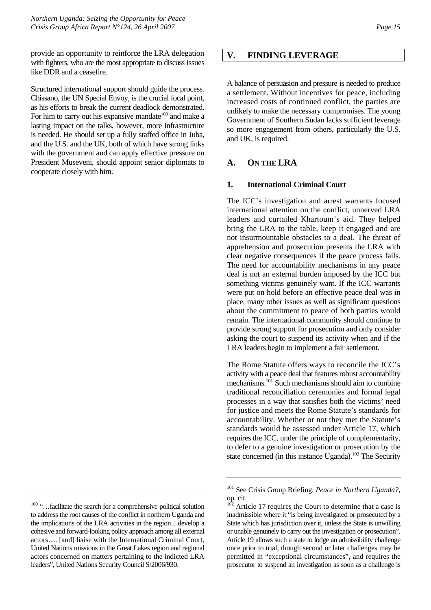provide an opportunity to reinforce the LRA delegation with fighters, who are the most appropriate to discuss issues like DDR and a ceasefire.

Structured international support should guide the process. Chissano, the UN Special Envoy, is the crucial focal point, as his efforts to break the current deadlock demonstrated. For him to carry out his expansive mandate<sup>100</sup> and make a lasting impact on the talks, however, more infrastructure is needed. He should set up a fully staffed office in Juba, and the U.S. and the UK, both of which have strong links with the government and can apply effective pressure on President Museveni, should appoint senior diplomats to cooperate closely with him.

### <span id="page-19-0"></span>**V. FINDING LEVERAGE**

A balance of persuasion and pressure is needed to produce a settlement. Without incentives for peace, including increased costs of continued conflict, the parties are unlikely to make the necessary compromises. The young Government of Southern Sudan lacks sufficient leverage so more engagement from others, particularly the U.S. and UK, is required.

### <span id="page-19-1"></span>**A. ON THE LRA**

#### **1. International Criminal Court**

<span id="page-19-2"></span>The ICC's investigation and arrest warrants focused international attention on the conflict, unnerved LRA leaders and curtailed Khartoum's aid. They helped bring the LRA to the table, keep it engaged and are not insurmountable obstacles to a deal. The threat of apprehension and prosecution presents the LRA with clear negative consequences if the peace process fails. The need for accountability mechanisms in any peace deal is not an external burden imposed by the ICC but something victims genuinely want. If the ICC warrants were put on hold before an effective peace deal was in place, many other issues as well as significant questions about the commitment to peace of both parties would remain. The international community should continue to provide strong support for prosecution and only consider asking the court to suspend its activity when and if the LRA leaders begin to implement a fair settlement.

The Rome Statute offers ways to reconcile the ICC's activity with a peace deal that features robust accountability mechanisms.[101 S](#page-19-4)uch mechanisms should aim to combine traditional reconciliation ceremonies and formal legal processes in a way that satisfies both the victims' need for justice and meets the Rome Statute's standards for accountability. Whether or not they met the Statute's standards would be assessed under Article 17, which requires the ICC, under the principle of complementarity, to defer to a genuine investigation or prosecution by the state concerned (in this instance Uganda).<sup>102</sup> The Security

<span id="page-19-3"></span><sup>&</sup>lt;sup>100</sup> "...facilitate the search for a comprehensive political solution to address the root causes of the conflict in northern Uganda and the implications of the LRA activities in the region…develop a cohesive and forward-looking policy approach among all external actors…. [and] liaise with the International Criminal Court, United Nations missions in the Great Lakes region and regional actors concerned on matters pertaining to the indicted LRA leaders", United Nations Security Council S/2006/930.

<span id="page-19-4"></span><sup>101</sup> See Crisis Group Briefing, *Peace in Northern Uganda?*, op. cit.

<span id="page-19-5"></span> $10<sup>2</sup>$  Article 17 requires the Court to determine that a case is inadmissible where it "is being investigated or prosecuted by a State which has jurisdiction over it, unless the State is unwilling or unable genuinely to carry out the investigation or prosecution". Article 19 allows such a state to lodge an admissibility challenge once prior to trial, though second or later challenges may be permitted in "exceptional circumstances", and requires the prosecutor to suspend an investigation as soon as a challenge is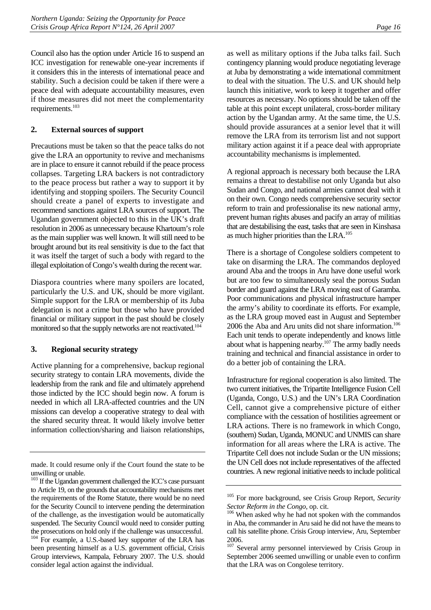Council also has the option under Article 16 to suspend an ICC investigation for renewable one-year increments if it considers this in the interests of international peace and stability. Such a decision could be taken if there were a peace deal with adequate accountability measures, even if those measures did not meet the complementarity requirements.[103](#page-20-2) 

### <span id="page-20-0"></span>**2. External sources of support**

Precautions must be taken so that the peace talks do not give the LRA an opportunity to revive and mechanisms are in place to ensure it cannot rebuild if the peace process collapses. Targeting LRA backers is not contradictory to the peace process but rather a way to support it by identifying and stopping spoilers. The Security Council should create a panel of experts to investigate and recommend sanctions against LRA sources of support. The Ugandan government objected to this in the UK's draft resolution in 2006 as unnecessary because Khartoum's role as the main supplier was well known. It will still need to be brought around but its real sensitivity is due to the fact that it was itself the target of such a body with regard to the illegal exploitation of Congo's wealth during the recent war.

Diaspora countries where many spoilers are located, particularly the U.S. and UK, should be more vigilant. Simple support for the LRA or membership of its Juba delegation is not a crime but those who have provided financial or military support in the past should be closely monitored so that the supply networks are not reactivated.<sup>104</sup>

#### <span id="page-20-1"></span>**3. Regional security strategy**

Active planning for a comprehensive, backup regional security strategy to contain LRA movements, divide the leadership from the rank and file and ultimately apprehend those indicted by the ICC should begin now. A forum is needed in which all LRA-affected countries and the UN missions can develop a cooperative strategy to deal with the shared security threat. It would likely involve better information collection/sharing and liaison relationships,

as well as military options if the Juba talks fail. Such contingency planning would produce negotiating leverage at Juba by demonstrating a wide international commitment to deal with the situation. The U.S. and UK should help launch this initiative, work to keep it together and offer resources as necessary. No options should be taken off the table at this point except unilateral, cross-border military action by the Ugandan army. At the same time, the U.S. should provide assurances at a senior level that it will remove the LRA from its terrorism list and not support military action against it if a peace deal with appropriate accountability mechanisms is implemented.

A regional approach is necessary both because the LRA remains a threat to destabilise not only Uganda but also Sudan and Congo, and national armies cannot deal with it on their own. Congo needs comprehensive security sector reform to train and professionalise its new national army, prevent human rights abuses and pacify an array of militias that are destabilising the east, tasks that are seen in Kinshasa as much higher priorities than the LRA.<sup>105</sup>

There is a shortage of Congolese soldiers competent to take on disarming the LRA. The commandos deployed around Aba and the troops in Aru have done useful work but are too few to simultaneously seal the porous Sudan border and guard against the LRA moving east of Garamba. Poor communications and physical infrastructure hamper the army's ability to coordinate its efforts. For example, as the LRA group moved east in August and September 2006 the Aba and Aru units did not share information.<sup>106</sup> Each unit tends to operate independently and knows little about what is happening nearby. $107$  The army badly needs training and technical and financial assistance in order to do a better job of containing the LRA.

Infrastructure for regional cooperation is also limited. The two current initiatives, the Tripartite Intelligence Fusion Cell (Uganda, Congo, U.S.) and the UN's LRA Coordination Cell, cannot give a comprehensive picture of either compliance with the cessation of hostilities agreement or LRA actions. There is no framework in which Congo, (southern) Sudan, Uganda, MONUC and UNMIS can share information for all areas where the LRA is active. The Tripartite Cell does not include Sudan or the UN missions; the UN Cell does not include representatives of the affected countries. A new regional initiative needs to include political

made. It could resume only if the Court found the state to be unwilling or unable.

<span id="page-20-2"></span><sup>103</sup> If the Ugandan government challenged the ICC's case pursuant to Article 19, on the grounds that accountability mechanisms met the requirements of the Rome Statute, there would be no need for the Security Council to intervene pending the determination of the challenge, as the investigation would be automatically suspended. The Security Council would need to consider putting the prosecutions on hold only if the challenge was unsuccessful.

<span id="page-20-3"></span><sup>104</sup> For example, a U.S.-based key supporter of the LRA has been presenting himself as a U.S. government official, Crisis Group interviews, Kampala, February 2007. The U.S. should consider legal action against the individual.

<span id="page-20-4"></span><sup>105</sup> For more background, see Crisis Group Report, *Security Sector Reform in the Congo*, op. cit.<br><sup>106</sup> When asked why he had not spoken with the commandos

<span id="page-20-5"></span>in Aba, the commander in Aru said he did not have the means to call his satellite phone. Crisis Group interview, Aru, September  $2006.$ <br> $107 \, \text{g}_{\text{e}}$ 

<span id="page-20-6"></span>Several army personnel interviewed by Crisis Group in September 2006 seemed unwilling or unable even to confirm that the LRA was on Congolese territory.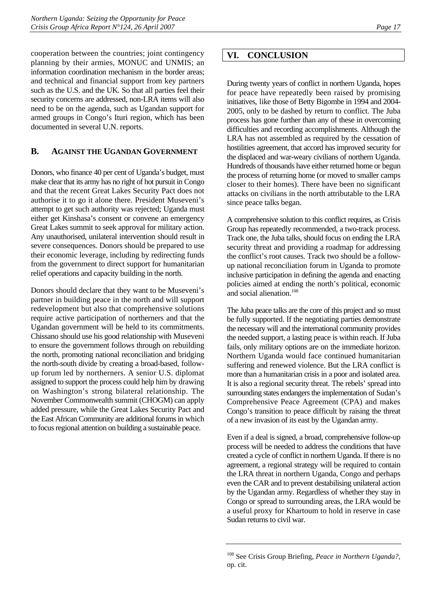cooperation between the countries; joint contingency planning by their armies, MONUC and UNMIS; an information coordination mechanism in the border areas; and technical and financial support from key partners such as the U.S. and the UK. So that all parties feel their security concerns are addressed, non-LRA items will also need to be on the agenda, such as Ugandan support for armed groups in Congo's Ituri region, which has been documented in several U.N. reports.

### <span id="page-21-0"></span>**B. AGAINST THE UGANDAN GOVERNMENT**

Donors, who finance 40 per cent of Uganda's budget, must make clear that its army has no right of hot pursuit in Congo and that the recent Great Lakes Security Pact does not authorise it to go it alone there. President Museveni's attempt to get such authority was rejected; Uganda must either get Kinshasa's consent or convene an emergency Great Lakes summit to seek approval for military action. Any unauthorised, unilateral intervention should result in severe consequences. Donors should be prepared to use their economic leverage, including by redirecting funds from the government to direct support for humanitarian relief operations and capacity building in the north.

Donors should declare that they want to be Museveni's partner in building peace in the north and will support redevelopment but also that comprehensive solutions require active participation of northerners and that the Ugandan government will be held to its commitments. Chissano should use his good relationship with Museveni to ensure the government follows through on rebuilding the north, promoting national reconciliation and bridging the north-south divide by creating a broad-based, followup forum led by northerners. A senior U.S. diplomat assigned to support the process could help him by drawing on Washington's strong bilateral relationship. The November Commonwealth summit (CHOGM) can apply added pressure, while the Great Lakes Security Pact and the East African Community are additional forums in which to focus regional attention on building a sustainable peace.

### <span id="page-21-1"></span>**VI. CONCLUSION**

During twenty years of conflict in northern Uganda, hopes for peace have repeatedly been raised by promising initiatives, like those of Betty Bigombe in 1994 and 2004- 2005, only to be dashed by return to conflict. The Juba process has gone further than any of these in overcoming difficulties and recording accomplishments. Although the LRA has not assembled as required by the cessation of hostilities agreement, that accord has improved security for the displaced and war-weary civilians of northern Uganda. Hundreds of thousands have either returned home or begun the process of returning home (or moved to smaller camps closer to their homes). There have been no significant attacks on civilians in the north attributable to the LRA since peace talks began.

A comprehensive solution to this conflict requires, as Crisis Group has repeatedly recommended, a two-track process. Track one, the Juba talks, should focus on ending the LRA security threat and providing a roadmap for addressing the conflict's root causes. Track two should be a followup national reconciliation forum in Uganda to promote inclusive participation in defining the agenda and enacting policies aimed at ending the north's political, economic and social alienation.<sup>108</sup>

The Juba peace talks are the core of this project and so must be fully supported. If the negotiating parties demonstrate the necessary will and the international community provides the needed support, a lasting peace is within reach. If Juba fails, only military options are on the immediate horizon. Northern Uganda would face continued humanitarian suffering and renewed violence. But the LRA conflict is more than a humanitarian crisis in a poor and isolated area. It is also a regional security threat. The rebels' spread into surrounding states endangers the implementation of Sudan's Comprehensive Peace Agreement (CPA) and makes Congo's transition to peace difficult by raising the threat of a new invasion of its east by the Ugandan army.

Even if a deal is signed, a broad, comprehensive follow-up process will be needed to address the conditions that have created a cycle of conflict in northern Uganda. If there is no agreement, a regional strategy will be required to contain the LRA threat in northern Uganda, Congo and perhaps even the CAR and to prevent destabilising unilateral action by the Ugandan army. Regardless of whether they stay in Congo or spread to surrounding areas, the LRA would be a useful proxy for Khartoum to hold in reserve in case Sudan returns to civil war.

<span id="page-21-2"></span><sup>108</sup> See Crisis Group Briefing, *Peace in Northern Uganda?*, op. cit.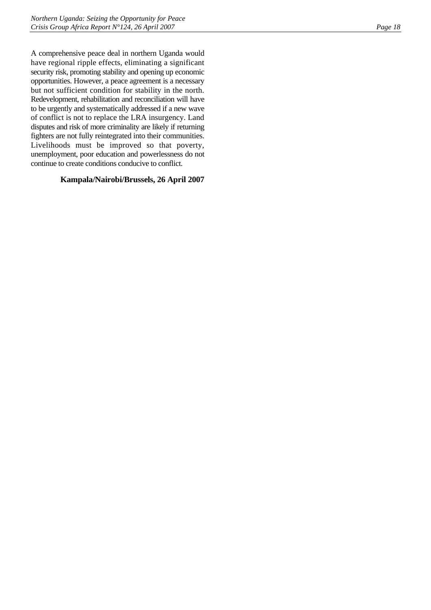A comprehensive peace deal in northern Uganda would have regional ripple effects, eliminating a significant security risk, promoting stability and opening up economic opportunities. However, a peace agreement is a necessary but not sufficient condition for stability in the north. Redevelopment, rehabilitation and reconciliation will have to be urgently and systematically addressed if a new wave of conflict is not to replace the LRA insurgency. Land disputes and risk of more criminality are likely if returning fighters are not fully reintegrated into their communities. Livelihoods must be improved so that poverty, unemployment, poor education and powerlessness do not continue to create conditions conducive to conflict.

#### **Kampala/Nairobi/Brussels, 26 April 2007**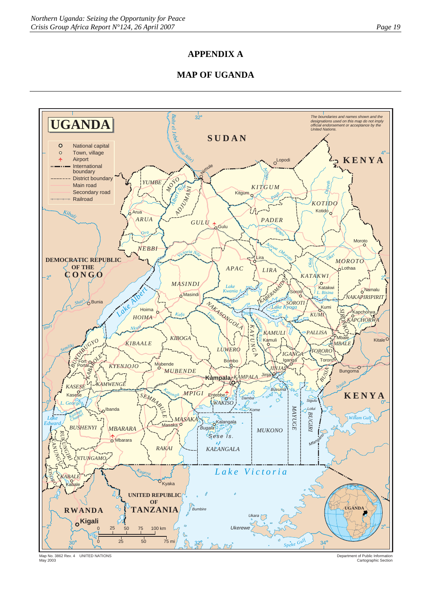### **APPENDIX A**

### **MAP OF UGANDA**



Map No. 3862 Rev. 4 UNITED NATIONS May 2003

Department of Public Information Cartographic Section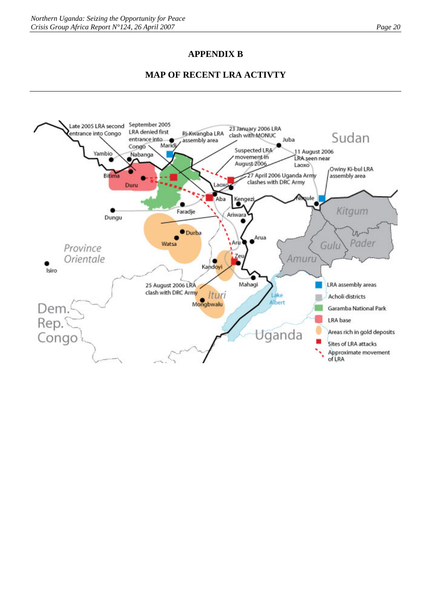### **APPENDIX B**

### **MAP OF RECENT LRA ACTIVTY**

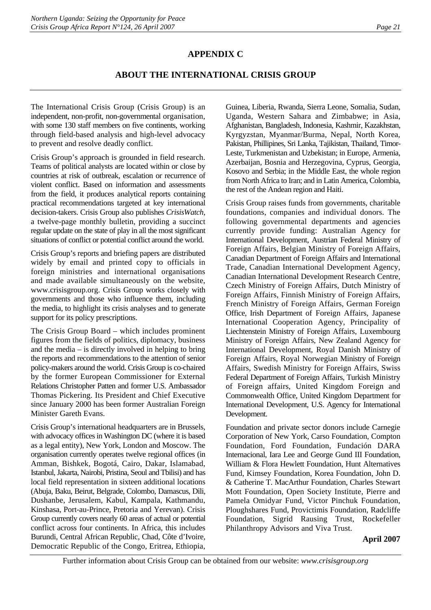## **APPENDIX C**

### **ABOUT THE INTERNATIONAL CRISIS GROUP**

The International Crisis Group (Crisis Group) is an independent, non-profit, non-governmental organisation, with some 130 staff members on five continents, working through field-based analysis and high-level advocacy to prevent and resolve deadly conflict.

Crisis Group's approach is grounded in field research. Teams of political analysts are located within or close by countries at risk of outbreak, escalation or recurrence of violent conflict. Based on information and assessments from the field, it produces analytical reports containing practical recommendations targeted at key international decision-takers. Crisis Group also publishes *CrisisWatch*, a twelve-page monthly bulletin, providing a succinct regular update on the state of play in all the most significant situations of conflict or potential conflict around the world.

Crisis Group's reports and briefing papers are distributed widely by email and printed copy to officials in foreign ministries and international organisations and made available simultaneously on the website, www.crisisgroup.org. Crisis Group works closely with governments and those who influence them, including the media, to highlight its crisis analyses and to generate support for its policy prescriptions.

The Crisis Group Board – which includes prominent figures from the fields of politics, diplomacy, business and the media – is directly involved in helping to bring the reports and recommendations to the attention of senior policy-makers around the world. Crisis Group is co-chaired by the former European Commissioner for External Relations Christopher Patten and former U.S. Ambassador Thomas Pickering. Its President and Chief Executive since January 2000 has been former Australian Foreign Minister Gareth Evans.

Crisis Group's international headquarters are in Brussels, with advocacy offices in Washington DC (where it is based as a legal entity), New York, London and Moscow. The organisation currently operates twelve regional offices (in Amman, Bishkek, Bogotá, Cairo, Dakar, Islamabad, Istanbul, Jakarta, Nairobi, Pristina, Seoul and Tbilisi) and has local field representation in sixteen additional locations (Abuja, Baku, Beirut, Belgrade, Colombo, Damascus, Dili, Dushanbe, Jerusalem, Kabul, Kampala, Kathmandu, Kinshasa, Port-au-Prince, Pretoria and Yerevan). Crisis Group currently covers nearly 60 areas of actual or potential conflict across four continents. In Africa, this includes Burundi, Central African Republic, Chad, Côte d'Ivoire, Democratic Republic of the Congo, Eritrea, Ethiopia,

Guinea, Liberia, Rwanda, Sierra Leone, Somalia, Sudan, Uganda, Western Sahara and Zimbabwe; in Asia, Afghanistan, Bangladesh, Indonesia, Kashmir, Kazakhstan, Kyrgyzstan, Myanmar/Burma, Nepal, North Korea, Pakistan, Phillipines, Sri Lanka, Tajikistan, Thailand, Timor-Leste, Turkmenistan and Uzbekistan; in Europe, Armenia, Azerbaijan, Bosnia and Herzegovina, Cyprus, Georgia, Kosovo and Serbia; in the Middle East, the whole region from North Africa to Iran; and in Latin America, Colombia, the rest of the Andean region and Haiti.

Crisis Group raises funds from governments, charitable foundations, companies and individual donors. The following governmental departments and agencies currently provide funding: Australian Agency for International Development, Austrian Federal Ministry of Foreign Affairs, Belgian Ministry of Foreign Affairs, Canadian Department of Foreign Affairs and International Trade, Canadian International Development Agency, Canadian International Development Research Centre, Czech Ministry of Foreign Affairs, Dutch Ministry of Foreign Affairs, Finnish Ministry of Foreign Affairs, French Ministry of Foreign Affairs, German Foreign Office, Irish Department of Foreign Affairs, Japanese International Cooperation Agency, Principality of Liechtenstein Ministry of Foreign Affairs, Luxembourg Ministry of Foreign Affairs, New Zealand Agency for International Development, Royal Danish Ministry of Foreign Affairs, Royal Norwegian Ministry of Foreign Affairs, Swedish Ministry for Foreign Affairs, Swiss Federal Department of Foreign Affairs, Turkish Ministry of Foreign affairs, United Kingdom Foreign and Commonwealth Office, United Kingdom Department for International Development, U.S. Agency for International Development.

Foundation and private sector donors include Carnegie Corporation of New York, Carso Foundation, Compton Foundation, Ford Foundation, Fundación DARA Internacional, Iara Lee and George Gund III Foundation, William & Flora Hewlett Foundation, Hunt Alternatives Fund, Kimsey Foundation, Korea Foundation, John D. & Catherine T. MacArthur Foundation, Charles Stewart Mott Foundation, Open Society Institute, Pierre and Pamela Omidyar Fund, Victor Pinchuk Foundation, Ploughshares Fund, Provictimis Foundation, Radcliffe Foundation, Sigrid Rausing Trust, Rockefeller Philanthropy Advisors and Viva Trust.

#### **April 2007**

Further information about Crisis Group can be obtained from our website: *[www.crisisgroup.org](http://www.crisisgroup.org/)*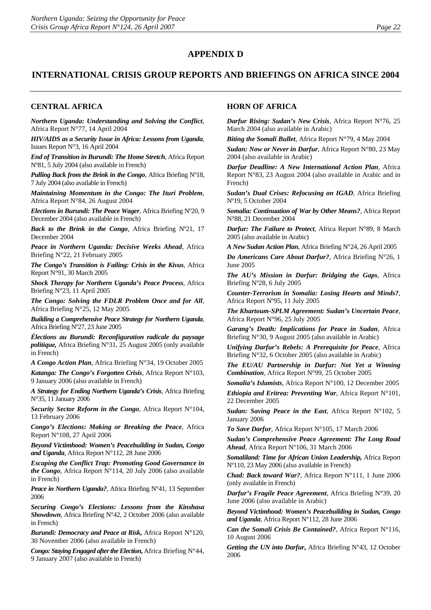#### **APPENDIX D**

### **INTERNATIONAL CRISIS GROUP REPORTS AND BRIEFINGS ON AFRICA SINCE 2004**

#### **CENTRAL AFRICA**

*Northern Uganda: Understanding and Solving the Conflict*, Africa Report N°77, 14 April 2004

*HIV/AIDS as a Security Issue in Africa: Lessons from Uganda*, Issues Report N°3, 16 April 2004

*End of Transition in Burundi: The Home Stretch*, Africa Report Nº81, 5 July 2004 (also available in French)

*Pulling Back from the Brink in the Congo*, Africa Briefing Nº18, 7 July 2004 (also available in French)

*Maintaining Momentum in the Congo: The Ituri Problem*, Africa Report N°84, 26 August 2004

*Elections in Burundi: The Peace Wager*, Africa Briefing Nº20, 9 December 2004 (also available in French)

*Back to the Brink in the Congo*, Africa Briefing Nº21, 17 December 2004

*Peace in Northern Uganda: Decisive Weeks Ahead*, Africa Briefing N°22, 21 February 2005

*The Congo's Transition is Failing: Crisis in the Kivus*, Africa Report N°91, 30 March 2005

*Shock Therapy for Northern Uganda's Peace Process*, Africa Briefing N°23, 11 April 2005

*The Congo: Solving the FDLR Problem Once and for All*, Africa Briefing N°25, 12 May 2005

*Building a Comprehensive Peace Strategy for Northern Uganda*, Africa Briefing Nº27, 23 June 2005

*Élections au Burundi: Reconfiguration radicale du paysage politique,* Africa Briefing N°31, 25 August 2005 (only available in French)

*A Congo Action Plan*, Africa Briefing N°34, 19 October 2005

*Katanga: The Congo's Forgotten Crisis*, Africa Report N°103, 9 January 2006 (also available in French)

*A Strategy for Ending Northern Uganda's Crisis*, Africa Briefing N°35, 11 January 2006

*Security Sector Reform in the Congo*, Africa Report N°104, 13 February 2006

*Congo's Elections: Making or Breaking the Peace*, Africa Report N°108, 27 April 2006

*Beyond Victimhood: Women's Peacebuilding in Sudan, Congo and Uganda*, Africa Report N°112, 28 June 2006

*Escaping the Conflict Trap: Promoting Good Governance in the Congo*, Africa Report N°114, 20 July 2006 (also available in French)

*Peace in Northern Uganda?*, Africa Briefing N°41, 13 September 2006

*Securing Congo's Elections: Lessons from the Kinshasa Showdown*, Africa Briefing N°42, 2 October 2006 (also available in French)

*Burundi: Democracy and Peace at Risk***,** Africa Report N°120, 30 November 2006 (also available in French)

*Congo: Staying Engaged after the Election, Africa Briefing N°44,* 9 January 2007 (also available in French)

#### **HORN OF AFRICA**

*Darfur Rising: Sudan's New Crisis*, Africa Report N°76, 25 March 2004 (also available in Arabic)

*Biting the Somali Bullet*, Africa Report N°79, 4 May 2004

*Sudan: Now or Never in Darfur*, Africa Report N°80, 23 May 2004 (also available in Arabic)

*Darfur Deadline: A New International Action Plan*, Africa Report N°83, 23 August 2004 (also available in Arabic and in French)

*Sudan's Dual Crises: Refocusing on IGAD*, Africa Briefing Nº19, 5 October 2004

*Somalia: Continuation of War by Other Means?*, Africa Report N°88, 21 December 2004

*Darfur: The Failure to Protect*, Africa Report N°89, 8 March 2005 (also available in Arabic)

*A New Sudan Action Plan*, Africa Briefing N°24, 26 April 2005

*Do Americans Care About Darfur?*, Africa Briefing N°26, 1 June 2005

*The AU's Mission in Darfur: Bridging the Gaps*, Africa Briefing Nº28, 6 July 2005

*Counter-Terrorism in Somalia: Losing Hearts and Minds?*, Africa Report Nº95, 11 July 2005

*The Khartoum-SPLM Agreement: Sudan's Uncertain Peace*, Africa Report N°96, 25 July 2005

*Garang's Death: Implications for Peace in Sudan*, Africa Briefing N°30, 9 August 2005 (also available in Arabic)

*Unifying Darfur's Rebels: A Prerequisite for Peace*, Africa Briefing N°32, 6 October 2005 (also available in Arabic)

*The EU/AU Partnership in Darfur: Not Yet a Winning Combination*, Africa Report N°99, 25 October 2005

*Somalia's Islamists*, Africa Report N°100, 12 December 2005

*Ethiopia and Eritrea: Preventing War*, Africa Report N°101, 22 December 2005

*Sudan: Saving Peace in the East*, Africa Report N°102, 5 January 2006

*To Save Darfur*, Africa Report N°105, 17 March 2006

*Sudan's Comprehensive Peace Agreement: The Long Road Ahead*, Africa Report N°106, 31 March 2006

*Somaliland: Time for African Union Leadership,* Africa Report Nº110, 23 May 2006 (also available in French)

*Chad: Back toward War?*, Africa Report N°111, 1 June 2006 (only available in French)

*Darfur's Fragile Peace Agreement*, Africa Briefing N°39, 20 June 2006 (also available in Arabic)

*Beyond Victimhood: Women's Peacebuilding in Sudan, Congo and Uganda*, Africa Report N°112, 28 June 2006

*Can the Somali Crisis Be Contained?*, Africa Report N°116, 10 August 2006

*Getting the UN into Darfur***,** Africa Briefing N°43, 12 October 2006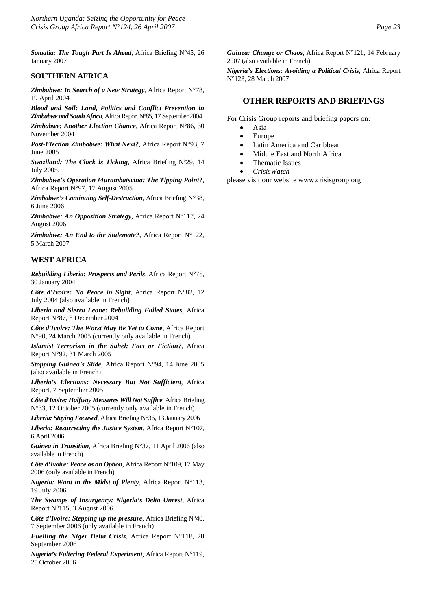*Somalia: The Tough Part Is Ahead*, Africa Briefing N°45, 26 January 2007

#### **SOUTHERN AFRICA**

*Zimbabwe: In Search of a New Strategy*, Africa Report N°78, 19 April 2004

*Blood and Soil: Land, Politics and Conflict Prevention in Zimbabwe and South Africa*, Africa Report Nº85, 17 September 2004

*Zimbabwe: Another Election Chance*, Africa Report N°86, 30 November 2004

*Post-Election Zimbabwe: What Next?*, Africa Report N°93, 7 June 2005

*Swaziland: The Clock is Ticking*, Africa Briefing Nº29, 14 July 2005.

*Zimbabwe's Operation Murambatsvina: The Tipping Point?*, Africa Report N°97, 17 August 2005

*Zimbabwe's Continuing Self-Destruction*, Africa Briefing N°38, 6 June 2006

*Zimbabwe: An Opposition Strategy*, Africa Report N°117, 24 August 2006

*[Zimbabwe: An End to the Stalemate?](http://www.crisisgroup.org/home/index.cfm?id=4682&l=1)*, Africa Report N°122, 5 March 2007

#### **WEST AFRICA**

*Rebuilding Liberia: Prospects and Perils*, Africa Report N°75, 30 January 2004

*Côte d'Ivoire: No Peace in Sight*, Africa Report N°82, 12 July 2004 (also available in French)

*Liberia and Sierra Leone: Rebuilding Failed States*, Africa Report N°87, 8 December 2004

*Côte d'Ivoire: The Worst May Be Yet to Come*, Africa Report N°90, 24 March 2005 (currently only available in French)

*Islamist Terrorism in the Sahel: Fact or Fiction?*, Africa Report N°92, 31 March 2005

*Stopping Guinea's Slide*, Africa Report N°94, 14 June 2005 (also available in French)

*Liberia's Elections: Necessary But Not Sufficient*, Africa Report, 7 September 2005

*Côte d'Ivoire: Halfway Measures Will Not Suffice*, Africa Briefing N°33, 12 October 2005 (currently only available in French)

*Liberia: Staying Focused*, Africa Briefing N°36, 13 January 2006

*Liberia: Resurrecting the Justice System*, Africa Report N°107, 6 April 2006

*Guinea in Transition*, Africa Briefing N°37, 11 April 2006 (also available in French)

*Côte d'Ivoire: Peace as an Option*, Africa Report N°109, 17 May 2006 (only available in French)

*Nigeria: Want in the Midst of Plenty*, Africa Report N°113, 19 July 2006

*The Swamps of Insurgency: Nigeria's Delta Unrest*, Africa Report N°115, 3 August 2006

*Côte d'Ivoire: Stepping up the pressure*, Africa Briefing N°40, 7 September 2006 (only available in French)

*Fuelling the Niger Delta Crisis*, Africa Report N°118, 28 September 2006

*Nigeria's Faltering Federal Experiment*, Africa Report N°119, 25 October 2006

*[Guinea: Change or Chaos](http://www.crisisgroup.org/home/index.cfm?id=4661&l=1)*, Africa Report N°121, 14 February 2007 (also available in French)

*Nigeria's Elections: Avoiding a Political Crisis*, Africa Report N°123, 28 March 2007

#### **OTHER REPORTS AND BRIEFINGS**

For Crisis Group reports and briefing papers on:

- Asia
- Europe
- Latin America and Caribbean
- Middle East and North Africa
	- Thematic Issues
- *CrisisWatch*

please visit our website [www.crisisgroup.org](http://www.crisisgroup.org/)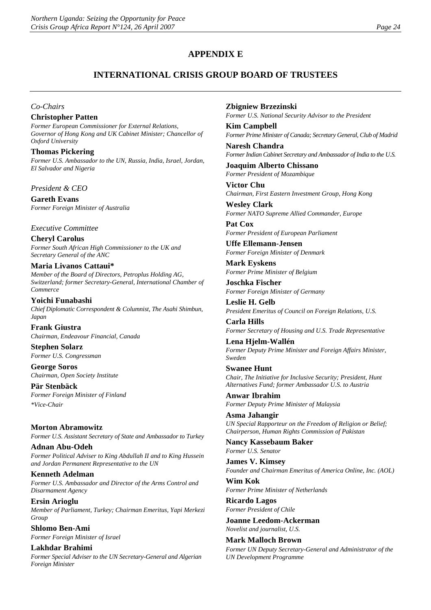### **APPENDIX E**

## **INTERNATIONAL CRISIS GROUP BOARD OF TRUSTEES**

#### *Co-Chairs*

#### **Christopher Patten**

*Former European Commissioner for External Relations, Governor of Hong Kong and UK Cabinet Minister; Chancellor of Oxford University*

**Thomas Pickering**  *Former U.S. Ambassador to the UN, Russia, India, Israel, Jordan, El Salvador and Nigeria*

*President & CEO*

**Gareth Evans** *Former Foreign Minister of Australia*

*Executive Committee*

**Cheryl Carolus** *Former South African High Commissioner to the UK and Secretary General of the ANC*

#### **Maria Livanos Cattaui\***

*Member of the Board of Directors, Petroplus Holding AG, Switzerland; former Secretary-General, International Chamber of Commerce*

**Yoichi Funabashi** *Chief Diplomatic Correspondent & Columnist, The Asahi Shimbun, Japan* 

**Frank Giustra** *Chairman, Endeavour Financial, Canada*

**Stephen Solarz** *Former U.S. Congressman*

**George Soros** *Chairman, Open Society Institute*

**Pär Stenbäck** *Former Foreign Minister of Finland \*Vice-Chair*

**Morton Abramowitz** *Former U.S. Assistant Secretary of State and Ambassador to Turkey*

**Adnan Abu-Odeh** *Former Political Adviser to King Abdullah II and to King Hussein and Jordan Permanent Representative to the UN*

**Kenneth Adelman** *Former U.S. Ambassador and Director of the Arms Control and Disarmament Agency*

**Ersin Arioglu** *Member of Parliament, Turkey; Chairman Emeritus, Yapi Merkezi Group*

**Shlomo Ben-Ami** *Former Foreign Minister of Israel*

**Lakhdar Brahimi** *Former Special Adviser to the UN Secretary-General and Algerian Foreign Minister*

#### **Zbigniew Brzezinski**

*Former U.S. National Security Advisor to the President*

**Kim Campbell** *Former Prime Minister of Canada; Secretary General, Club of Madrid*

**Naresh Chandra** *Former Indian Cabinet Secretary and Ambassador of India to the U.S.*

**Joaquim Alberto Chissano** *Former President of Mozambique*

**Victor Chu** *Chairman, First Eastern Investment Group, Hong Kong*

**Wesley Clark** *Former NATO Supreme Allied Commander, Europe*

**Pat Cox** *Former President of European Parliament*

**Uffe Ellemann-Jensen** *Former Foreign Minister of Denmark*

**Mark Eyskens** *Former Prime Minister of Belgium*

**Joschka Fischer** *Former Foreign Minister of Germany*

**Leslie H. Gelb** *President Emeritus of Council on Foreign Relations, U.S.* 

**Carla Hills** *Former Secretary of Housing and U.S. Trade Representative*

**Lena Hjelm-Wallén** *Former Deputy Prime Minister and Foreign Affairs Minister, Sweden*

**Swanee Hunt** *Chair, The Initiative for Inclusive Security; President, Hunt Alternatives Fund; former Ambassador U.S. to Austria* 

**Anwar Ibrahim** *Former Deputy Prime Minister of Malaysia*

**Asma Jahangir** *UN Special Rapporteur on the Freedom of Religion or Belief; Chairperson, Human Rights Commission of Pakistan*

**Nancy Kassebaum Baker** *Former U.S. Senator* 

**James V. Kimsey** *Founder and Chairman Emeritus of America Online, Inc. (AOL)*

**Wim Kok** *Former Prime Minister of Netherlands*

**Ricardo Lagos** *Former President of Chile* 

**Joanne Leedom-Ackerman** *Novelist and journalist, U.S.*

**Mark Malloch Brown**

*Former UN Deputy Secretary-General and Administrator of the UN Development Programme*